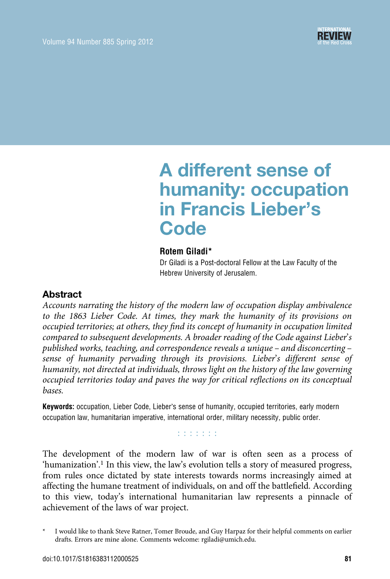

# A different sense of humanity: occupation in Francis Lieber*'*s **Code**

#### Rotem Giladi\*

Dr Giladi is a Post-doctoral Fellow at the Law Faculty of the Hebrew University of Jerusalem.

# **Abstract**

Accounts narrating the history of the modern law of occupation display ambivalence to the 1863 Lieber Code. At times, they mark the humanity of its provisions on occupied territories; at others, they find its concept of humanity in occupation limited compared to subsequent developments. A broader reading of the Code against Lieber's published works, teaching, and correspondence reveals a unique – and disconcerting – sense of humanity pervading through its provisions. Lieber's different sense of humanity, not directed at individuals, throws light on the history of the law governing occupied territories today and paves the way for critical reflections on its conceptual bases.

Keywords: occupation, Lieber Code, Lieber's sense of humanity, occupied territories, early modern occupation law, humanitarian imperative, international order, military necessity, public order.

**EDITOR** 

The development of the modern law of war is often seen as a process of 'humanization'.<sup>1</sup> In this view, the law's evolution tells a story of measured progress, from rules once dictated by state interests towards norms increasingly aimed at affecting the humane treatment of individuals, on and off the battlefield. According to this view, today's international humanitarian law represents a pinnacle of achievement of the laws of war project.

I would like to thank Steve Ratner, Tomer Broude, and Guy Harpaz for their helpful comments on earlier drafts. Errors are mine alone. Comments welcome: rgiladi@umich.edu.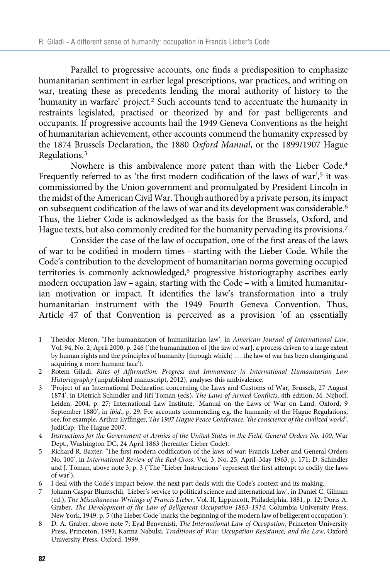Parallel to progressive accounts, one finds a predisposition to emphasize humanitarian sentiment in earlier legal prescriptions, war practices, and writing on war, treating these as precedents lending the moral authority of history to the 'humanity in warfare' project.<sup>2</sup> Such accounts tend to accentuate the humanity in restraints legislated, practised or theorized by and for past belligerents and occupants. If progressive accounts hail the 1949 Geneva Conventions as the height of humanitarian achievement, other accounts commend the humanity expressed by the 1874 Brussels Declaration, the 1880 Oxford Manual, or the 1899/1907 Hague Regulations.<sup>3</sup>

Nowhere is this ambivalence more patent than with the Lieber Code.<sup>4</sup> Frequently referred to as 'the first modern codification of the laws of war',<sup>5</sup> it was commissioned by the Union government and promulgated by President Lincoln in the midst of the American Civil War. Though authored by a private person, its impact on subsequent codification of the laws of war and its development was considerable.<sup>6</sup> Thus, the Lieber Code is acknowledged as the basis for the Brussels, Oxford, and Hague texts, but also commonly credited for the humanity pervading its provisions.7

Consider the case of the law of occupation, one of the first areas of the laws of war to be codified in modern times – starting with the Lieber Code. While the Code's contribution to the development of humanitarian norms governing occupied territories is commonly acknowledged,<sup>8</sup> progressive historiography ascribes early modern occupation law – again, starting with the Code – with a limited humanitarian motivation or impact. It identifies the law's transformation into a truly humanitarian instrument with the 1949 Fourth Geneva Convention. Thus, Article 47 of that Convention is perceived as a provision 'of an essentially

- 1 Theodor Meron, 'The humanization of humanitarian law', in American Journal of International Law, Vol. 94, No. 2, April 2000, p. 246 ('the humanization of [the law of war], a process driven to a large extent by human rights and the principles of humanity [through which] ... the law of war has been changing and acquiring a more humane face').
- 2 Rotem Giladi, Rites of Affirmation: Progress and Immanence in International Humanitarian Law Historiography (unpublished manuscript, 2012), analyses this ambivalence.
- 3 'Project of an International Declaration concerning the Laws and Customs of War, Brussels, 27 August 1874', in Dietrich Schindler and Jiří Toman (eds), The Laws of Armed Conflicts, 4th edition, M. Nijhoff, Leiden, 2004, p. 27; International Law Institute, 'Manual on the Laws of War on Land, Oxford, 9 September 1880', in ibid., p. 29. For accounts commending e.g. the humanity of the Hague Regulations, see, for example, Arthur Eyffinger, The 1907 Hague Peace Conference: 'the conscience of the civilized world', JudiCap, The Hague 2007.
- 4 Instructions for the Government of Armies of the United States in the Field, General Orders No. 100, War Dept., Washington DC, 24 April 1863 (hereafter Lieber Code).
- 5 Richard R. Baxter, 'The first modern codification of the laws of war: Francis Lieber and General Orders No. 100', in International Review of the Red Cross, Vol. 3, No. 25, April–May 1963, p. 171; D. Schindler and J. Toman, above note 3, p. 3 ('The "Lieber Instructions" represent the first attempt to codify the laws of war').
- 6 I deal with the Code's impact below; the next part deals with the Code's context and its making.
- 7 Johann Caspar Bluntschli, 'Lieber's service to political science and international law', in Daniel C. Gilman (ed.), The Miscellaneous Writings of Francis Lieber, Vol. II, Lippincott, Philadelphia, 1881, p. 12; Doris A. Graber, The Development of the Law of Belligerent Occupation 1863–1914, Columbia University Press, New York, 1949, p. 5 (the Lieber Code 'marks the beginning of the modern law of belligerent occupation').
- 8 D. A. Graber, above note 7; Eyal Benvenisti, The International Law of Occupation, Princeton University Press, Princeton, 1993; Karma Nabulsi, Traditions of War: Occupation Resistance, and the Law, Oxford University Press, Oxford, 1999.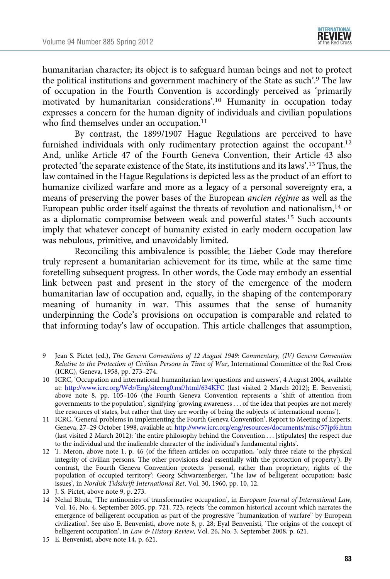humanitarian character; its object is to safeguard human beings and not to protect the political institutions and government machinery of the State as such'. <sup>9</sup> The law of occupation in the Fourth Convention is accordingly perceived as 'primarily motivated by humanitarian considerations'. <sup>10</sup> Humanity in occupation today expresses a concern for the human dignity of individuals and civilian populations who find themselves under an occupation.<sup>11</sup>

By contrast, the 1899/1907 Hague Regulations are perceived to have furnished individuals with only rudimentary protection against the occupant.<sup>12</sup> And, unlike Article 47 of the Fourth Geneva Convention, their Article 43 also protected 'the separate existence of the State, its institutions and its laws'. <sup>13</sup> Thus, the law contained in the Hague Regulations is depicted less as the product of an effort to humanize civilized warfare and more as a legacy of a personal sovereignty era, a means of preserving the power bases of the European ancien régime as well as the European public order itself against the threats of revolution and nationalism,14 or as a diplomatic compromise between weak and powerful states.15 Such accounts imply that whatever concept of humanity existed in early modern occupation law was nebulous, primitive, and unavoidably limited.

Reconciling this ambivalence is possible; the Lieber Code may therefore truly represent a humanitarian achievement for its time, while at the same time foretelling subsequent progress. In other words, the Code may embody an essential link between past and present in the story of the emergence of the modern humanitarian law of occupation and, equally, in the shaping of the contemporary meaning of humanity in war. This assumes that the sense of humanity underpinning the Code's provisions on occupation is comparable and related to that informing today's law of occupation. This article challenges that assumption,

- 9 Jean S. Pictet (ed.), The Geneva Conventions of 12 August 1949: Commentary, (IV) Geneva Convention Relative to the Protection of Civilian Persons in Time of War, International Committee of the Red Cross (ICRC), Geneva, 1958, pp. 273–274.
- 10 ICRC, 'Occupation and international humanitarian law: questions and answers', 4 August 2004, available at: <http://www.icrc.org/Web/Eng/siteeng0.nsf/html/634KFC> (last visited 2 March 2012); E. Benvenisti, above note 8, pp. 105–106 (the Fourth Geneva Convention represents a 'shift of attention from governments to the population', signifying 'growing awareness ... of the idea that peoples are not merely the resources of states, but rather that they are worthy of being the subjects of international norms').
- 11 ICRC, 'General problems in implementing the Fourth Geneva Convention', Report to Meeting of Experts, Geneva, 27–29 October 1998, available at: <http://www.icrc.org/eng/resources/documents/misc/57jpf6.htm> (last visited 2 March 2012): 'the entire philosophy behind the Convention ... [stipulates] the respect due to the individual and the inalienable character of the individual's fundamental rights'.
- 12 T. Meron, above note 1, p. 46 (of the fifteen articles on occupation, 'only three relate to the physical integrity of civilian persons. The other provisions deal essentially with the protection of property'). By contrast, the Fourth Geneva Convention protects 'personal, rather than proprietary, rights of the population of occupied territory': Georg Schwarzenberger, 'The law of belligerent occupation: basic issues', in Nordisk Tidsskrift International Ret, Vol. 30, 1960, pp. 10, 12.
- 13 J. S. Pictet, above note 9, p. 273.
- 14 Nehal Bhuta, 'The antinomies of transformative occupation', in European Journal of International Law, Vol. 16, No. 4, September 2005, pp. 721, 723, rejects 'the common historical account which narrates the emergence of belligerent occupation as part of the progressive "humanization of warfare" by European civilization'. See also E. Benvenisti, above note 8, p. 28; Eyal Benvenisti, 'The origins of the concept of belligerent occupation', in Law & History Review, Vol. 26, No. 3, September 2008, p. 621.
- 15 E. Benvenisti, above note 14, p. 621.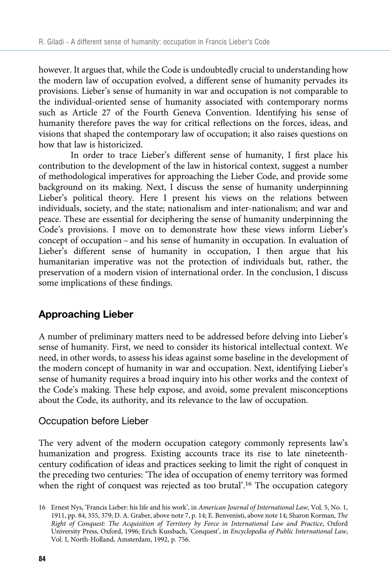however. It argues that, while the Code is undoubtedly crucial to understanding how the modern law of occupation evolved, a different sense of humanity pervades its provisions. Lieber's sense of humanity in war and occupation is not comparable to the individual-oriented sense of humanity associated with contemporary norms such as Article 27 of the Fourth Geneva Convention. Identifying his sense of humanity therefore paves the way for critical reflections on the forces, ideas, and visions that shaped the contemporary law of occupation; it also raises questions on how that law is historicized.

In order to trace Lieber's different sense of humanity, I first place his contribution to the development of the law in historical context, suggest a number of methodological imperatives for approaching the Lieber Code, and provide some background on its making. Next, I discuss the sense of humanity underpinning Lieber's political theory. Here I present his views on the relations between individuals, society, and the state; nationalism and inter-nationalism; and war and peace. These are essential for deciphering the sense of humanity underpinning the Code's provisions. I move on to demonstrate how these views inform Lieber's concept of occupation – and his sense of humanity in occupation. In evaluation of Lieber's different sense of humanity in occupation, I then argue that his humanitarian imperative was not the protection of individuals but, rather, the preservation of a modern vision of international order. In the conclusion, I discuss some implications of these findings.

# Approaching Lieber

A number of preliminary matters need to be addressed before delving into Lieber's sense of humanity. First, we need to consider its historical intellectual context. We need, in other words, to assess his ideas against some baseline in the development of the modern concept of humanity in war and occupation. Next, identifying Lieber's sense of humanity requires a broad inquiry into his other works and the context of the Code's making. These help expose, and avoid, some prevalent misconceptions about the Code, its authority, and its relevance to the law of occupation.

## Occupation before Lieber

The very advent of the modern occupation category commonly represents law's humanization and progress. Existing accounts trace its rise to late nineteenthcentury codification of ideas and practices seeking to limit the right of conquest in the preceding two centuries: 'The idea of occupation of enemy territory was formed when the right of conquest was rejected as too brutal'.<sup>16</sup> The occupation category

<sup>16</sup> Ernest Nys, 'Francis Lieber: his life and his work', in American Journal of International Law, Vol. 5, No. 1, 1911, pp. 84, 355, 379; D. A. Graber, above note 7, p. 14; E. Benvenisti, above note 14; Sharon Korman, The Right of Conquest: The Acquisition of Territory by Force in International Law and Practice, Oxford University Press, Oxford, 1996; Erich Kussbach, 'Conquest', in Encyclopedia of Public International Law, Vol. I, North-Holland, Amsterdam, 1992, p. 756.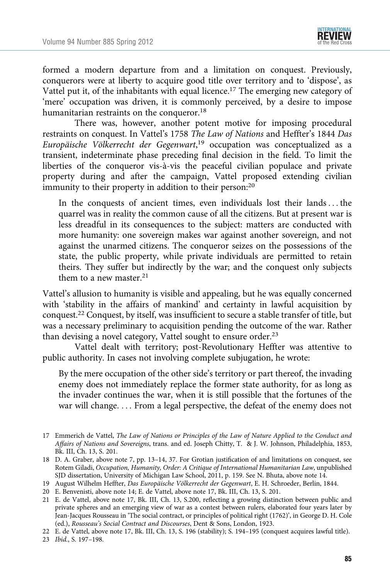

formed a modern departure from and a limitation on conquest. Previously, conquerors were at liberty to acquire good title over territory and to 'dispose', as Vattel put it, of the inhabitants with equal licence.17 The emerging new category of 'mere' occupation was driven, it is commonly perceived, by a desire to impose humanitarian restraints on the conqueror.<sup>18</sup>

There was, however, another potent motive for imposing procedural restraints on conquest. In Vattel's 1758 The Law of Nations and Heffter's 1844 Das Europäische Völkerrecht der Gegenwart,<sup>19</sup> occupation was conceptualized as a transient, indeterminate phase preceding final decision in the field. To limit the liberties of the conqueror vis-à-vis the peaceful civilian populace and private property during and after the campaign, Vattel proposed extending civilian immunity to their property in addition to their person:20

In the conquests of ancient times, even individuals lost their lands ... the quarrel was in reality the common cause of all the citizens. But at present war is less dreadful in its consequences to the subject: matters are conducted with more humanity: one sovereign makes war against another sovereign, and not against the unarmed citizens. The conqueror seizes on the possessions of the state, the public property, while private individuals are permitted to retain theirs. They suffer but indirectly by the war; and the conquest only subjects them to a new master.<sup>21</sup>

Vattel's allusion to humanity is visible and appealing, but he was equally concerned with 'stability in the affairs of mankind' and certainty in lawful acquisition by conquest.22 Conquest, by itself, was insufficient to secure a stable transfer of title, but was a necessary preliminary to acquisition pending the outcome of the war. Rather than devising a novel category, Vattel sought to ensure order.23

Vattel dealt with territory; post-Revolutionary Heffter was attentive to public authority. In cases not involving complete subjugation, he wrote:

By the mere occupation of the other side's territory or part thereof, the invading enemy does not immediately replace the former state authority, for as long as the invader continues the war, when it is still possible that the fortunes of the war will change. ... From a legal perspective, the defeat of the enemy does not

23 Ibid., S. 197–198.

<sup>17</sup> Emmerich de Vattel, The Law of Nations or Principles of the Law of Nature Applied to the Conduct and Affairs of Nations and Sovereigns, trans. and ed. Joseph Chitty, T. & J. W. Johnson, Philadelphia, 1853, Bk. III, Ch. 13, S. 201.

<sup>18</sup> D. A. Graber, above note 7, pp. 13–14, 37. For Grotian justification of and limitations on conquest, see Rotem Giladi, Occupation, Humanity, Order: A Critique of International Humanitarian Law, unpublished SJD dissertation, University of Michigan Law School, 2011, p. 159. See N. Bhuta, above note 14.

<sup>19</sup> August Wilhelm Heffter, Das Europäische Völkerrecht der Gegenwart, E. H. Schroeder, Berlin, 1844.

<sup>20</sup> E. Benvenisti, above note 14; E. de Vattel, above note 17, Bk. III, Ch. 13, S. 201.

<sup>21</sup> E. de Vattel, above note 17, Bk. III, Ch. 13, S.200, reflecting a growing distinction between public and private spheres and an emerging view of war as a contest between rulers, elaborated four years later by Jean-Jacques Rousseau in 'The social contract, or principles of political right (1762)', in George D. H. Cole (ed.), Rousseau's Social Contract and Discourses, Dent & Sons, London, 1923.

<sup>22</sup> E. de Vattel, above note 17, Bk. III, Ch. 13, S. 196 (stability); S. 194–195 (conquest acquires lawful title).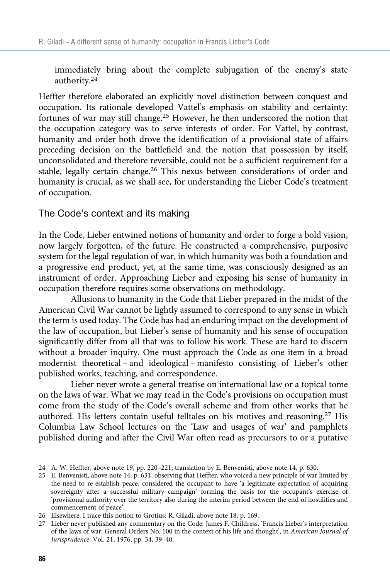immediately bring about the complete subjugation of the enemy's state authority.24

Heffter therefore elaborated an explicitly novel distinction between conquest and occupation. Its rationale developed Vattel's emphasis on stability and certainty: fortunes of war may still change.25 However, he then underscored the notion that the occupation category was to serve interests of order. For Vattel, by contrast, humanity and order both drove the identification of a provisional state of affairs preceding decision on the battlefield and the notion that possession by itself, unconsolidated and therefore reversible, could not be a sufficient requirement for a stable, legally certain change.<sup>26</sup> This nexus between considerations of order and humanity is crucial, as we shall see, for understanding the Lieber Code's treatment of occupation.

# The Code's context and its making

In the Code, Lieber entwined notions of humanity and order to forge a bold vision, now largely forgotten, of the future. He constructed a comprehensive, purposive system for the legal regulation of war, in which humanity was both a foundation and a progressive end product, yet, at the same time, was consciously designed as an instrument of order. Approaching Lieber and exposing his sense of humanity in occupation therefore requires some observations on methodology.

Allusions to humanity in the Code that Lieber prepared in the midst of the American Civil War cannot be lightly assumed to correspond to any sense in which the term is used today. The Code has had an enduring impact on the development of the law of occupation, but Lieber's sense of humanity and his sense of occupation significantly differ from all that was to follow his work. These are hard to discern without a broader inquiry. One must approach the Code as one item in a broad modernist theoretical – and ideological – manifesto consisting of Lieber's other published works, teaching, and correspondence.

Lieber never wrote a general treatise on international law or a topical tome on the laws of war. What we may read in the Code's provisions on occupation must come from the study of the Code's overall scheme and from other works that he authored. His letters contain useful telltales on his motives and reasoning.<sup>27</sup> His Columbia Law School lectures on the 'Law and usages of war' and pamphlets published during and after the Civil War often read as precursors to or a putative

25 E. Benvenisti, above note 14, p. 631, observing that Heffter, who voiced a new principle of war limited by the need to re-establish peace, considered the occupant to have 'a legitimate expectation of acquiring sovereignty after a successful military campaign' forming the basis for the occupant's exercise of 'provisional authority over the territory also during the interim period between the end of hostilities and commencement of peace'.

<sup>24</sup> A. W. Heffter, above note 19, pp. 220–221; translation by E. Benvenisti, above note 14, p. 630.

<sup>26</sup> Elsewhere, I trace this notion to Grotius: R. Giladi, above note 18, p. 169.

<sup>27</sup> Lieber never published any commentary on the Code: James F. Childress, 'Francis Lieber's interpretation of the laws of war: General Orders No. 100 in the context of his life and thought', in American Journal of Jurisprudence, Vol. 21, 1976, pp. 34, 39–40.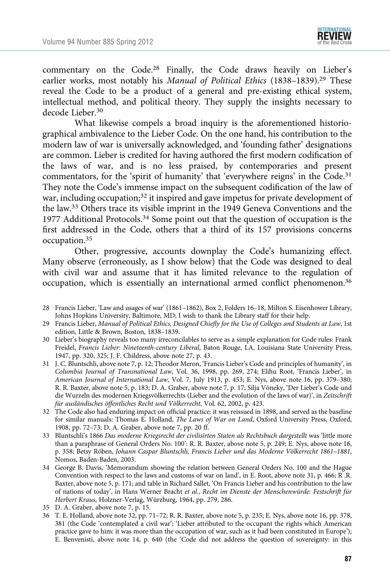commentary on the Code.28 Finally, the Code draws heavily on Lieber's earlier works, most notably his Manual of Political Ethics (1838-1839).<sup>29</sup> These reveal the Code to be a product of a general and pre-existing ethical system, intellectual method, and political theory. They supply the insights necessary to decode Lieber.30

What likewise compels a broad inquiry is the aforementioned historiographical ambivalence to the Lieber Code. On the one hand, his contribution to the modern law of war is universally acknowledged, and 'founding father' designations are common. Lieber is credited for having authored the first modern codification of the laws of war, and is no less praised, by contemporaries and present commentators, for the 'spirit of humanity' that 'everywhere reigns' in the Code.<sup>31</sup> They note the Code's immense impact on the subsequent codification of the law of war, including occupation;<sup>32</sup> it inspired and gave impetus for private development of the law.<sup>33</sup> Others trace its visible imprint in the 1949 Geneva Conventions and the 1977 Additional Protocols.34 Some point out that the question of occupation is the first addressed in the Code, others that a third of its 157 provisions concerns occupation.35

Other, progressive, accounts downplay the Code's humanizing effect. Many observe (erroneously, as I show below) that the Code was designed to deal with civil war and assume that it has limited relevance to the regulation of occupation, which is essentially an international armed conflict phenomenon.<sup>36</sup>

- 28 Francis Lieber, 'Law and usages of war' (1861–1862), Box 2, Folders 16–18, Milton S. Eisenhower Library, Johns Hopkins University, Baltimore, MD; I wish to thank the Library staff for their help.
- 29 Francis Lieber, Manual of Political Ethics, Designed Chiefly for the Use of Colleges and Students at Law, 1st edition, Little & Brown, Boston, 1838–1839.
- 30 Lieber's biography reveals too many irreconcilables to serve as a simple explanation for Code rules: Frank Freidel, Francis Lieber: Nineteenth-century Liberal, Baton Rouge, LA, Louisiana State University Press, 1947, pp. 320, 325; J. F. Childress, above note 27, p. 43.
- 31 J. C. Bluntschli, above note 7, p. 12; Theodor Meron, 'Francis Lieber's Code and principles of humanity', in Columbia Journal of Transnational Law, Vol. 36, 1998, pp. 269, 274; Elihu Root, 'Francis Lieber', in American Journal of International Law, Vol. 7, July 1913, p. 453; E. Nys, above note 16, pp. 379–380; R. R. Baxter, above note 5, p. 183; D. A. Graber, above note 7, p. 17; Silja Vöneky, 'Der Lieber's Code und die Wurzeln des modernen Kriegsvölkerrechts (Lieber and the evolution of the laws of war)', in Zeitschrift für ausländisches öffentliches Recht und Völkerrecht, Vol. 62, 2002, p. 423.
- 32 The Code also had enduring impact on official practice: it was reissued in 1898, and served as the baseline for similar manuals: Thomas E. Holland, The Laws of War on Land, Oxford University Press, Oxford, 1908, pp. 72–73; D. A. Graber, above note 7, pp. 20 ff.
- 33 Bluntschli's 1866 Das moderne Kriegsrecht der civilisirten Staten als Rechtsbuch dargestellt was 'little more than a paraphrase of General Orders No. 100': R. R. Baxter, above note 5, p. 249; E. Nys, above note 16, p. 358; Betsy Röben, Johann Caspar Bluntschli, Francis Lieber und das Moderne Völkerrecht 1861–1881, Nomos, Baden-Baden, 2003.
- 34 George B. Davis, 'Memorandum showing the relation between General Orders No. 100 and the Hague Convention with respect to the laws and customs of war on land', in E. Root, above note 31, p. 466; R .R. Baxter, above note 5, p. 171; and table in Richard Sallet, 'On Francis Lieber and his contribution to the law of nations of today', in Hans Werner Bracht et al., Recht im Dienste der Menschenwürde: Festschrift für Herbert Kraus, Holzner-Verlag, Würzburg, 1964, pp. 279, 286.
- 35 D. A. Graber, above note 7, p. 15.
- 36 T. E. Holland, above note 32, pp. 71–72; R. R. Baxter, above note 5, p. 235; E. Nys, above note 16, pp. 378, 381 (the Code 'contemplated a civil war'; 'Lieber attributed to the occupant the rights which American practice gave to him: it was more than the occupation of war, such as it had been constituted in Europe'); E. Benvenisti, above note 14, p. 640 (the 'Code did not address the question of sovereignty: in this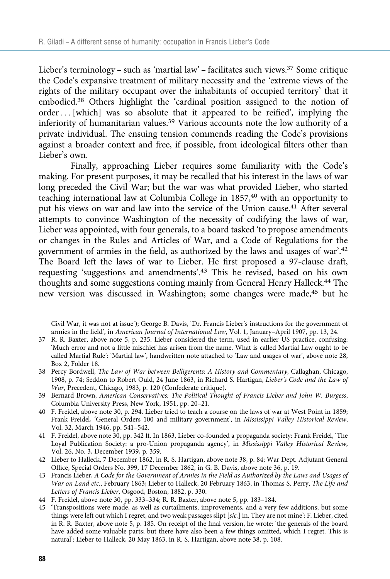Lieber's terminology – such as 'martial law' – facilitates such views.37 Some critique the Code's expansive treatment of military necessity and the 'extreme views of the rights of the military occupant over the inhabitants of occupied territory' that it embodied.<sup>38</sup> Others highlight the 'cardinal position assigned to the notion of order ... [which] was so absolute that it appeared to be reified', implying the inferiority of humanitarian values.39 Various accounts note the low authority of a private individual. The ensuing tension commends reading the Code's provisions against a broader context and free, if possible, from ideological filters other than Lieber's own.

Finally, approaching Lieber requires some familiarity with the Code's making. For present purposes, it may be recalled that his interest in the laws of war long preceded the Civil War; but the war was what provided Lieber, who started teaching international law at Columbia College in 1857,<sup>40</sup> with an opportunity to put his views on war and law into the service of the Union cause.41 After several attempts to convince Washington of the necessity of codifying the laws of war, Lieber was appointed, with four generals, to a board tasked 'to propose amendments or changes in the Rules and Articles of War, and a Code of Regulations for the government of armies in the field, as authorized by the laws and usages of war'. 42 The Board left the laws of war to Lieber. He first proposed a 97-clause draft, requesting 'suggestions and amendments'. <sup>43</sup> This he revised, based on his own thoughts and some suggestions coming mainly from General Henry Halleck.<sup>44</sup> The new version was discussed in Washington; some changes were made,<sup>45</sup> but he

Civil War, it was not at issue'); George B. Davis, 'Dr. Francis Lieber's instructions for the government of armies in the field', in American Journal of International Law, Vol. 1, January–April 1907, pp. 13, 24.

- 37 R. R. Baxter, above note 5, p. 235. Lieber considered the term, used in earlier US practice, confusing: 'Much error and not a little mischief has arisen from the name. What is called Martial Law ought to be called Martial Rule': 'Martial law', handwritten note attached to 'Law and usages of war', above note 28, Box 2, Folder 18.
- 38 Percy Bordwell, The Law of War between Belligerents: A History and Commentary, Callaghan, Chicago, 1908, p. 74; Seddon to Robert Ould, 24 June 1863, in Richard S. Hartigan, Lieber's Code and the Law of War, Precedent, Chicago, 1983, p. 120 (Confederate critique).
- 39 Bernard Brown, American Conservatives: The Political Thought of Francis Lieber and John W. Burgess, Columbia University Press, New York, 1951, pp. 20–21.
- 40 F. Freidel, above note 30, p. 294. Lieber tried to teach a course on the laws of war at West Point in 1859; Frank Freidel, 'General Orders 100 and military government', in Mississippi Valley Historical Review, Vol. 32, March 1946, pp. 541–542.
- 41 F. Freidel, above note 30, pp. 342 ff. In 1863, Lieber co-founded a propaganda society: Frank Freidel, 'The Loyal Publication Society: a pro-Union propaganda agency', in Mississippi Valley Historical Review, Vol. 26, No. 3, December 1939, p. 359.
- 42 Lieber to Halleck, 7 December 1862, in R. S. Hartigan, above note 38, p. 84; War Dept. Adjutant General Office, Special Orders No. 399, 17 December 1862, in G. B. Davis, above note 36, p. 19.
- 43 Francis Lieber, A Code for the Government of Armies in the Field as Authorized by the Laws and Usages of War on Land etc., February 1863; Lieber to Halleck, 20 February 1863, in Thomas S. Perry, The Life and Letters of Francis Lieber, Osgood, Boston, 1882, p. 330.
- 44 F. Freidel, above note 30, pp. 333–334; R. R. Baxter, above note 5, pp. 183–184.
- 45 'Transpositions were made, as well as curtailments, improvements, and a very few additions; but some things were left out which I regret, and two weak passages slipt [sic.] in. They are not mine': F. Lieber, cited in R. R. Baxter, above note 5, p. 185. On receipt of the final version, he wrote: 'the generals of the board have added some valuable parts; but there have also been a few things omitted, which I regret. This is natural': Lieber to Halleck, 20 May 1863, in R. S. Hartigan, above note 38, p. 108.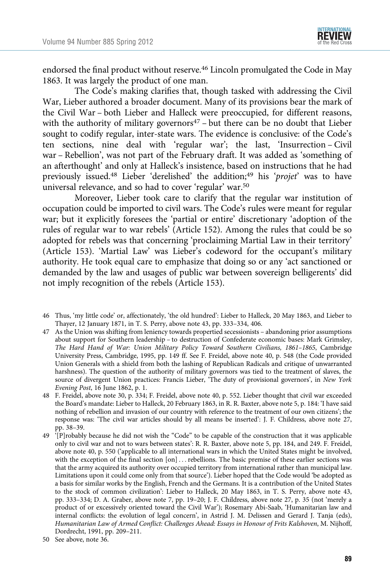

endorsed the final product without reserve.46 Lincoln promulgated the Code in May 1863. It was largely the product of one man.

The Code's making clarifies that, though tasked with addressing the Civil War, Lieber authored a broader document. Many of its provisions bear the mark of the Civil War – both Lieber and Halleck were preoccupied, for different reasons, with the authority of military governors $47$  – but there can be no doubt that Lieber sought to codify regular, inter-state wars. The evidence is conclusive: of the Code's ten sections, nine deal with 'regular war'; the last, 'Insurrection – Civil war – Rebellion', was not part of the February draft. It was added as 'something of an afterthought' and only at Halleck's insistence, based on instructions that he had previously issued.<sup>48</sup> Lieber 'derelished' the addition;<sup>49</sup> his 'projet' was to have universal relevance, and so had to cover 'regular' war.50

Moreover, Lieber took care to clarify that the regular war institution of occupation could be imported to civil wars. The Code's rules were meant for regular war; but it explicitly foresees the 'partial or entire' discretionary 'adoption of the rules of regular war to war rebels' (Article 152). Among the rules that could be so adopted for rebels was that concerning 'proclaiming Martial Law in their territory' (Article 153). 'Martial Law' was Lieber's codeword for the occupant's military authority. He took equal care to emphasize that doing so or any 'act sanctioned or demanded by the law and usages of public war between sovereign belligerents' did not imply recognition of the rebels (Article 153).

- 46 Thus, 'my little code' or, affectionately, 'the old hundred': Lieber to Halleck, 20 May 1863, and Lieber to Thayer, 12 January 1871, in T. S. Perry, above note 43, pp. 333–334, 406.
- 47 As the Union was shifting from leniency towards propertied secessionists abandoning prior assumptions about support for Southern leadership – to destruction of Confederate economic bases: Mark Grimsley, The Hard Hand of War: Union Military Policy Toward Southern Civilians, 1861–1865, Cambridge University Press, Cambridge, 1995, pp. 149 ff. See F. Freidel, above note 40, p. 548 (the Code provided Union Generals with a shield from both the lashing of Republican Radicals and critique of unwarranted harshness). The question of the authority of military governors was tied to the treatment of slaves, the source of divergent Union practices: Francis Lieber, 'The duty of provisional governors', in New York Evening Post, 16 June 1862, p. 1.
- 48 F. Freidel, above note 30, p. 334; F. Freidel, above note 40, p. 552. Lieber thought that civil war exceeded the Board's mandate: Lieber to Halleck, 20 February 1863, in R. R. Baxter, above note 5, p. 184: 'I have said nothing of rebellion and invasion of our country with reference to the treatment of our own citizens'; the response was: 'The civil war articles should by all means be inserted': J. F. Childress, above note 27, pp. 38–39.
- 49 '[P]robably because he did not wish the "Code" to be capable of the construction that it was applicable only to civil war and not to wars between states': R. R. Baxter, above note 5, pp. 184, and 249. F. Freidel, above note 40, p. 550 ('applicable to all international wars in which the United States might be involved, with the exception of the final section [on] ... rebellions. The basic premise of these earlier sections was that the army acquired its authority over occupied territory from international rather than municipal law. Limitations upon it could come only from that source'). Lieber hoped that the Code would 'be adopted as a basis for similar works by the English, French and the Germans. It is a contribution of the United States to the stock of common civilization': Lieber to Halleck, 20 May 1863, in T. S. Perry, above note 43, pp. 333–334; D. A. Graber, above note 7, pp. 19–20; J. F. Childress, above note 27, p. 35 (not 'merely a product of or excessively oriented toward the Civil War'); Rosemary Abi-Saab, 'Humanitarian law and internal conflicts: the evolution of legal concern', in Astrid J. M. Delissen and Gerard J. Tanja (eds), Humanitarian Law of Armed Conflict: Challenges Ahead: Essays in Honour of Frits Kalshoven, M. Nijhoff, Dordrecht, 1991, pp. 209–211.
- 50 See above, note 36.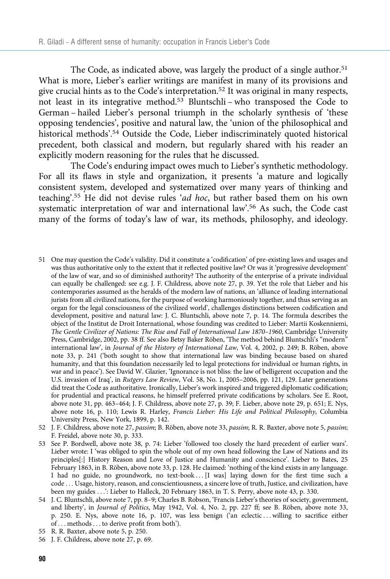The Code, as indicated above, was largely the product of a single author.<sup>51</sup> What is more, Lieber's earlier writings are manifest in many of its provisions and give crucial hints as to the Code's interpretation.52 It was original in many respects, not least in its integrative method.53 Bluntschli – who transposed the Code to German – hailed Lieber's personal triumph in the scholarly synthesis of 'these opposing tendencies', positive and natural law, the 'union of the philosophical and historical methods'. <sup>54</sup> Outside the Code, Lieber indiscriminately quoted historical precedent, both classical and modern, but regularly shared with his reader an explicitly modern reasoning for the rules that he discussed.

The Code's enduring impact owes much to Lieber's synthetic methodology. For all its flaws in style and organization, it presents 'a mature and logically consistent system, developed and systematized over many years of thinking and teaching'. <sup>55</sup> He did not devise rules 'ad hoc, but rather based them on his own systematic interpretation of war and international law'. <sup>56</sup> As such, the Code cast many of the forms of today's law of war, its methods, philosophy, and ideology.

51 One may question the Code's validity. Did it constitute a 'codification' of pre-existing laws and usages and was thus authoritative only to the extent that it reflected positive law? Or was it 'progressive development' of the law of war, and so of diminished authority? The authority of the enterprise of a private individual can equally be challenged: see e.g. J. F. Childress, above note 27, p. 39. Yet the role that Lieber and his contemporaries assumed as the heralds of the modern law of nations, an 'alliance of leading international jurists from all civilized nations, for the purpose of working harmoniously together, and thus serving as an organ for the legal consciousness of the civilized world', challenges distinctions between codification and development, positive and natural law: J. C. Bluntschli, above note 7, p. 14. The formula describes the object of the Institut de Droit International, whose founding was credited to Lieber: Martii Koskenniemi, The Gentle Civilizer of Nations: The Rise and Fall of International Law 1870–1960, Cambridge University Press, Cambridge, 2002, pp. 38 ff. See also Betsy Baker Röben, 'The method behind Bluntschli's "modern" international law', in Journal of the History of International Law, Vol. 4, 2002, p. 249; B. Röben, above note 33, p. 241 ('both sought to show that international law was binding because based on shared humanity, and that this foundation necessarily led to legal protections for individual or human rights, in war and in peace'). See David W. Glazier, 'Ignorance is not bliss: the law of belligerent occupation and the U.S. invasion of Iraq', in Rutgers Law Review, Vol. 58, No. 1, 2005–2006, pp. 121, 129. Later generations did treat the Code as authoritative. Ironically, Lieber's work inspired and triggered diplomatic codification; for prudential and practical reasons, he himself preferred private codifications by scholars. See E. Root, above note 31, pp. 463–464; J. F. Childress, above note 27, p. 39; F. Lieber, above note 29, p. 651; E. Nys, above note 16, p. 110; Lewis R. Harley, Francis Lieber: His Life and Political Philosophy, Columbia University Press, New York, 1899, p. 142.

52 J. F. Childress, above note 27, passim; B. Röben, above note 33, passim; R. R. Baxter, above note 5, passim; F. Freidel, above note 30, p. 333.

53 See P. Bordwell, above note 38, p. 74: Lieber 'followed too closely the hard precedent of earlier wars'. Lieber wrote: I 'was obliged to spin the whole out of my own head following the Law of Nations and its principles[:] History Reason and Love of Justice and Humanity and conscience'. Lieber to Bates, 25 February 1863, in B. Röben, above note 33, p. 128. He claimed: 'nothing of the kind exists in any language. I had no guide, no groundwork, no text-book ... [I was] laying down for the first time such a code ... Usage, history, reason, and conscientiousness, a sincere love of truth, Justice, and civilization, have been my guides ...': Lieber to Halleck, 20 February 1863, in T. S. Perry, above note 43, p. 330.

54 J. C. Bluntschli, above note 7, pp. 8–9; Charles B. Robson, 'Francis Lieber's theories of society, government, and liberty', in Journal of Politics, May 1942, Vol. 4, No. 2, pp. 227 ff; see B. Röben, above note 33, p. 250. E. Nys, above note 16, p. 107, was less benign ('an eclectic ... willing to sacrifice either of ... methods ... to derive profit from both').

- 55 R. R. Baxter, above note 5, p. 250.
- 56 J. F. Childress, above note 27, p. 69.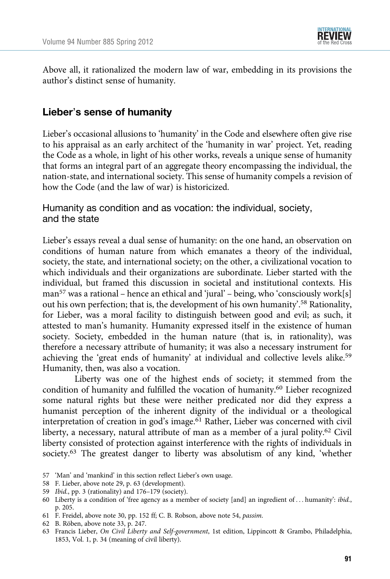

Above all, it rationalized the modern law of war, embedding in its provisions the author's distinct sense of humanity.

## Lieber's sense of humanity

Lieber's occasional allusions to 'humanity' in the Code and elsewhere often give rise to his appraisal as an early architect of the 'humanity in war' project. Yet, reading the Code as a whole, in light of his other works, reveals a unique sense of humanity that forms an integral part of an aggregate theory encompassing the individual, the nation-state, and international society. This sense of humanity compels a revision of how the Code (and the law of war) is historicized.

Humanity as condition and as vocation: the individual, society, and the state

Lieber's essays reveal a dual sense of humanity: on the one hand, an observation on conditions of human nature from which emanates a theory of the individual, society, the state, and international society; on the other, a civilizational vocation to which individuals and their organizations are subordinate. Lieber started with the individual, but framed this discussion in societal and institutional contexts. His man<sup>57</sup> was a rational – hence an ethical and 'jural' – being, who 'consciously work[s] out his own perfection; that is, the development of his own humanity'.<sup>58</sup> Rationality, for Lieber, was a moral facility to distinguish between good and evil; as such, it attested to man's humanity. Humanity expressed itself in the existence of human society. Society, embedded in the human nature (that is, in rationality), was therefore a necessary attribute of humanity; it was also a necessary instrument for achieving the 'great ends of humanity' at individual and collective levels alike.59 Humanity, then, was also a vocation.

Liberty was one of the highest ends of society; it stemmed from the condition of humanity and fulfilled the vocation of humanity.60 Lieber recognized some natural rights but these were neither predicated nor did they express a humanist perception of the inherent dignity of the individual or a theological interpretation of creation in god's image.<sup>61</sup> Rather, Lieber was concerned with civil liberty, a necessary, natural attribute of man as a member of a jural polity.62 Civil liberty consisted of protection against interference with the rights of individuals in society.63 The greatest danger to liberty was absolutism of any kind, 'whether

- 57 'Man' and 'mankind' in this section reflect Lieber's own usage.
- 58 F. Lieber, above note 29, p. 63 (development).
- 59 Ibid., pp. 3 (rationality) and 176–179 (society).

- 61 F. Freidel, above note 30, pp. 152 ff; C. B. Robson, above note 54, passim.
- 62 B. Röben, above note 33, p. 247.
- 63 Francis Lieber, On Civil Liberty and Self-government, 1st edition, Lippincott & Grambo, Philadelphia, 1853, Vol. 1, p. 34 (meaning of civil liberty).

<sup>60</sup> Liberty is a condition of 'free agency as a member of society [and] an ingredient of ... humanity': ibid., p. 205.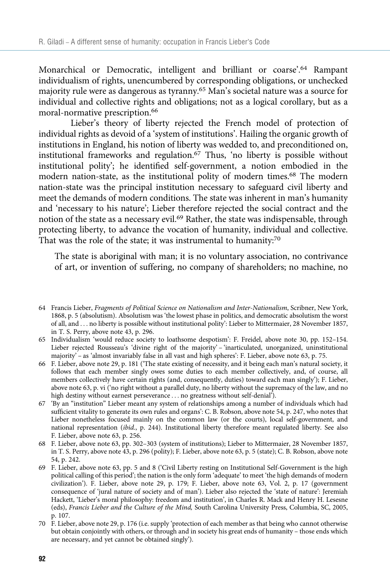Monarchical or Democratic, intelligent and brilliant or coarse'.<sup>64</sup> Rampant individualism of rights, unencumbered by corresponding obligations, or unchecked majority rule were as dangerous as tyranny.65 Man's societal nature was a source for individual and collective rights and obligations; not as a logical corollary, but as a moral-normative prescription.<sup>66</sup>

Lieber's theory of liberty rejected the French model of protection of individual rights as devoid of a 'system of institutions'. Hailing the organic growth of institutions in England, his notion of liberty was wedded to, and preconditioned on, institutional frameworks and regulation.<sup>67</sup> Thus, 'no liberty is possible without institutional polity'; he identified self-government, a notion embodied in the modern nation-state, as the institutional polity of modern times.68 The modern nation-state was the principal institution necessary to safeguard civil liberty and meet the demands of modern conditions. The state was inherent in man's humanity and 'necessary to his nature'; Lieber therefore rejected the social contract and the notion of the state as a necessary evil.69 Rather, the state was indispensable, through protecting liberty, to advance the vocation of humanity, individual and collective. That was the role of the state; it was instrumental to humanity:<sup>70</sup>

The state is aboriginal with man; it is no voluntary association, no contrivance of art, or invention of suffering, no company of shareholders; no machine, no

- 66 F. Lieber, above note 29, p. 181 ('The state existing of necessity, and it being each man's natural society, it follows that each member singly owes some duties to each member collectively, and, of course, all members collectively have certain rights (and, consequently, duties) toward each man singly'); F. Lieber, above note 63, p. vi ('no right without a parallel duty, no liberty without the supremacy of the law, and no high destiny without earnest perseverance ... no greatness without self-denial').
- 67 'By an "institution" Lieber meant any system of relationships among a number of individuals which had sufficient vitality to generate its own rules and organs': C. B. Robson, above note 54, p. 247, who notes that Lieber nonetheless focused mainly on the common law (or the courts), local self-government, and national representation (ibid., p. 244). Institutional liberty therefore meant regulated liberty. See also F. Lieber, above note 63, p. 256.
- 68 F. Lieber, above note 63, pp. 302–303 (system of institutions); Lieber to Mittermaier, 28 November 1857, in T. S. Perry, above note 43, p. 296 (polity); F. Lieber, above note 63, p. 5 (state); C. B. Robson, above note 54, p. 242.
- 69 F. Lieber, above note 63, pp. 5 and 8 ('Civil Liberty resting on Institutional Self-Government is the high political calling of this period'; the nation is the only form 'adequate' to meet 'the high demands of modern civilization'). F. Lieber, above note 29, p. 179; F. Lieber, above note 63, Vol. 2, p. 17 (government consequence of 'jural nature of society and of man'). Lieber also rejected the 'state of nature': Jeremiah Hackett, 'Lieber's moral philosophy: freedom and institution', in Charles R. Mack and Henry H. Lesesne (eds), Francis Lieber and the Culture of the Mind, South Carolina University Press, Columbia, SC, 2005, p. 107.
- 70 F. Lieber, above note 29, p. 176 (i.e. supply 'protection of each member as that being who cannot otherwise but obtain conjointly with others, or through and in society his great ends of humanity – those ends which are necessary, and yet cannot be obtained singly').

<sup>64</sup> Francis Lieber, Fragments of Political Science on Nationalism and Inter-Nationalism, Scribner, New York, 1868, p. 5 (absolutism). Absolutism was 'the lowest phase in politics, and democratic absolutism the worst of all, and ... no liberty is possible without institutional polity': Lieber to Mittermaier, 28 November 1857, in T. S. Perry, above note 43, p. 296.

<sup>65</sup> Individualism 'would reduce society to loathsome despotism': F. Freidel, above note 30, pp. 152–154. Lieber rejected Rousseau's 'divine right of the majority'–'inarticulated, unorganized, uninstitutional majority' – as 'almost invariably false in all vast and high spheres': F. Lieber, above note 63, p. 75.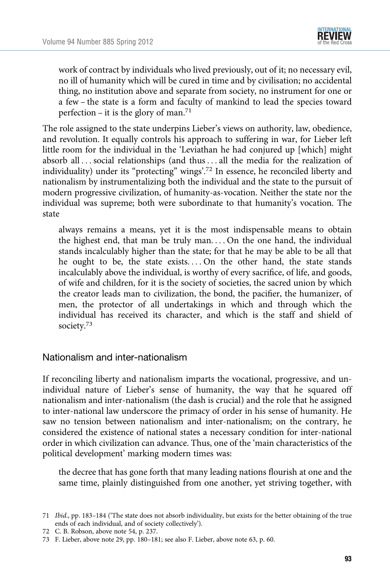

work of contract by individuals who lived previously, out of it; no necessary evil, no ill of humanity which will be cured in time and by civilisation; no accidental thing, no institution above and separate from society, no instrument for one or a few – the state is a form and faculty of mankind to lead the species toward perfection – it is the glory of man.<sup>71</sup>

The role assigned to the state underpins Lieber's views on authority, law, obedience, and revolution. It equally controls his approach to suffering in war, for Lieber left little room for the individual in the 'Leviathan he had conjured up [which] might absorb all ... social relationships (and thus ... all the media for the realization of individuality) under its "protecting" wings'.<sup>72</sup> In essence, he reconciled liberty and nationalism by instrumentalizing both the individual and the state to the pursuit of modern progressive civilization, of humanity-as-vocation. Neither the state nor the individual was supreme; both were subordinate to that humanity's vocation. The state

always remains a means, yet it is the most indispensable means to obtain the highest end, that man be truly man. ... On the one hand, the individual stands incalculably higher than the state; for that he may be able to be all that he ought to be, the state exists. ... On the other hand, the state stands incalculably above the individual, is worthy of every sacrifice, of life, and goods, of wife and children, for it is the society of societies, the sacred union by which the creator leads man to civilization, the bond, the pacifier, the humanizer, of men, the protector of all undertakings in which and through which the individual has received its character, and which is the staff and shield of society.73

## Nationalism and inter-nationalism

If reconciling liberty and nationalism imparts the vocational, progressive, and unindividual nature of Lieber's sense of humanity, the way that he squared off nationalism and inter-nationalism (the dash is crucial) and the role that he assigned to inter-national law underscore the primacy of order in his sense of humanity. He saw no tension between nationalism and inter-nationalism; on the contrary, he considered the existence of national states a necessary condition for inter-national order in which civilization can advance. Thus, one of the 'main characteristics of the political development' marking modern times was:

the decree that has gone forth that many leading nations flourish at one and the same time, plainly distinguished from one another, yet striving together, with

<sup>71</sup> Ibid., pp. 183–184 ('The state does not absorb individuality, but exists for the better obtaining of the true ends of each individual, and of society collectively').

<sup>72</sup> C. B. Robson, above note 54, p. 237.

<sup>73</sup> F. Lieber, above note 29, pp. 180–181; see also F. Lieber, above note 63, p. 60.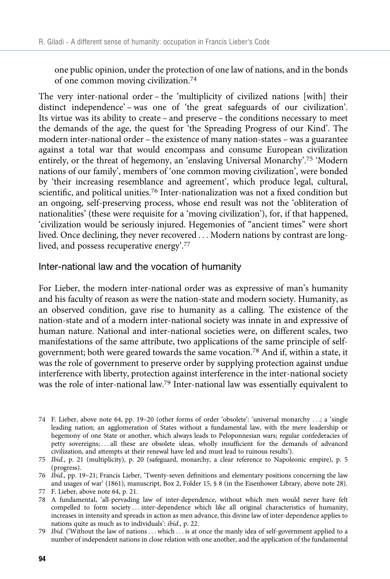one public opinion, under the protection of one law of nations, and in the bonds of one common moving civilization.74

The very inter-national order – the 'multiplicity of civilized nations [with] their distinct independence' – was one of 'the great safeguards of our civilization'. Its virtue was its ability to create – and preserve – the conditions necessary to meet the demands of the age, the quest for 'the Spreading Progress of our Kind'. The modern inter-national order – the existence of many nation-states – was a guarantee against a total war that would encompass and consume European civilization entirely, or the threat of hegemony, an 'enslaving Universal Monarchy'.<sup>75</sup> 'Modern nations of our family', members of 'one common moving civilization', were bonded by 'their increasing resemblance and agreement', which produce legal, cultural, scientific, and political unities.76 Inter-nationalization was not a fixed condition but an ongoing, self-preserving process, whose end result was not the 'obliteration of nationalities' (these were requisite for a 'moving civilization'), for, if that happened, 'civilization would be seriously injured. Hegemonies of "ancient times" were short lived. Once declining, they never recovered ... Modern nations by contrast are longlived, and possess recuperative energy'.<sup>77</sup>

## Inter-national law and the vocation of humanity

For Lieber, the modern inter-national order was as expressive of man's humanity and his faculty of reason as were the nation-state and modern society. Humanity, as an observed condition, gave rise to humanity as a calling. The existence of the nation-state and of a modern inter-national society was innate in and expressive of human nature. National and inter-national societies were, on different scales, two manifestations of the same attribute, two applications of the same principle of selfgovernment; both were geared towards the same vocation.78 And if, within a state, it was the role of government to preserve order by supplying protection against undue interference with liberty, protection against interference in the inter-national society was the role of inter-national law.<sup>79</sup> Inter-national law was essentially equivalent to

- 74 F. Lieber, above note 64, pp. 19–20 (other forms of order 'obsolete': 'universal monarchy ...; a 'single leading nation; an agglomeration of States without a fundamental law, with the mere leadership or hegemony of one State or another, which always leads to Peloponnesian wars; regular confederacies of petty sovereigns; ... all these are obsolete ideas, wholly insufficient for the demands of advanced civilization, and attempts at their renewal have led and must lead to ruinous results').
- 75 Ibid., p. 21 (multiplicity), p. 20 (safeguard, monarchy, a clear reference to Napoleonic empire), p. 5 (progress).
- 76 Ibid., pp. 19–21; Francis Lieber, 'Twenty-seven definitions and elementary positions concerning the law and usages of war' (1861), manuscript, Box 2, Folder 15, § 8 (in the Eisenhower Library, above note 28).
- 77 F. Lieber, above note 64, p. 21.
- 78 A fundamental, 'all-pervading law of inter-dependence, without which men would never have felt compelled to form society ... inter-dependence which like all original characteristics of humanity, increases in intensity and spreads in action as men advance, this divine law of inter-dependence applies to nations quite as much as to individuals': ibid., p. 22.
- 79 Ibid. ('Without the law of nations ... which ... is at once the manly idea of self-government applied to a number of independent nations in close relation with one another, and the application of the fundamental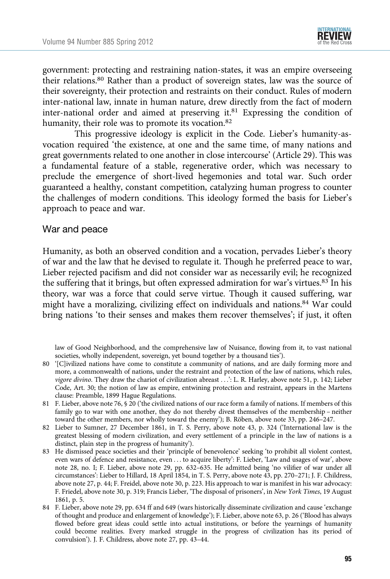

government: protecting and restraining nation-states, it was an empire overseeing their relations.<sup>80</sup> Rather than a product of sovereign states, law was the source of their sovereignty, their protection and restraints on their conduct. Rules of modern inter-national law, innate in human nature, drew directly from the fact of modern inter-national order and aimed at preserving it.<sup>81</sup> Expressing the condition of humanity, their role was to promote its vocation.<sup>82</sup>

This progressive ideology is explicit in the Code. Lieber's humanity-asvocation required 'the existence, at one and the same time, of many nations and great governments related to one another in close intercourse' (Article 29). This was a fundamental feature of a stable, regenerative order, which was necessary to preclude the emergence of short-lived hegemonies and total war. Such order guaranteed a healthy, constant competition, catalyzing human progress to counter the challenges of modern conditions. This ideology formed the basis for Lieber's approach to peace and war.

#### War and peace

Humanity, as both an observed condition and a vocation, pervades Lieber's theory of war and the law that he devised to regulate it. Though he preferred peace to war, Lieber rejected pacifism and did not consider war as necessarily evil; he recognized the suffering that it brings, but often expressed admiration for war's virtues.83 In his theory, war was a force that could serve virtue. Though it caused suffering, war might have a moralizing, civilizing effect on individuals and nations.<sup>84</sup> War could bring nations 'to their senses and makes them recover themselves'; if just, it often

law of Good Neighborhood, and the comprehensive law of Nuisance, flowing from it, to vast national societies, wholly independent, sovereign, yet bound together by a thousand ties').

- 80 '[C]ivilized nations have come to constitute a community of nations, and are daily forming more and more, a commonwealth of nations, under the restraint and protection of the law of nations, which rules, vigore divino. They draw the chariot of civilization abreast ...': L. R. Harley, above note 51, p. 142; Lieber Code, Art. 30; the notion of law as empire, entwining protection and restraint, appears in the Martens clause: Preamble, 1899 Hague Regulations.
- 81 F. Lieber, above note 76, § 20 ('the civilized nations of our race form a family of nations. If members of this family go to war with one another, they do not thereby divest themselves of the membership – neither toward the other members, nor wholly toward the enemy'); B. Röben, above note 33, pp. 246–247.
- 82 Lieber to Sumner, 27 December 1861, in T. S. Perry, above note 43, p. 324 ('International law is the greatest blessing of modern civilization, and every settlement of a principle in the law of nations is a distinct, plain step in the progress of humanity').
- 83 He dismissed peace societies and their 'principle of benevolence' seeking 'to prohibit all violent contest, even wars of defence and resistance, even ... to acquire liberty': F. Lieber, 'Law and usages of war', above note 28, no. I; F. Lieber, above note 29, pp. 632–635. He admitted being 'no vilifier of war under all circumstances': Lieber to Hillard, 18 April 1854, in T. S. Perry, above note 43, pp. 270–271; J. F. Childress, above note 27, p. 44; F. Freidel, above note 30, p. 223. His approach to war is manifest in his war advocacy: F. Friedel, above note 30, p. 319; Francis Lieber, 'The disposal of prisoners', in New York Times, 19 August 1861, p. 5.
- 84 F. Lieber, above note 29, pp. 634 ff and 649 (wars historically disseminate civilization and cause 'exchange of thought and produce and enlargement of knowledge'); F. Lieber, above note 63, p. 26 ('Blood has always flowed before great ideas could settle into actual institutions, or before the yearnings of humanity could become realities. Every marked struggle in the progress of civilization has its period of convulsion'). J. F. Childress, above note 27, pp. 43–44.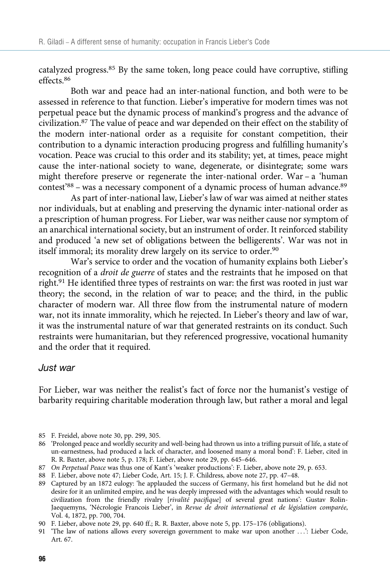catalyzed progress.<sup>85</sup> By the same token, long peace could have corruptive, stifling effects.86

Both war and peace had an inter-national function, and both were to be assessed in reference to that function. Lieber's imperative for modern times was not perpetual peace but the dynamic process of mankind's progress and the advance of civilization.87 The value of peace and war depended on their effect on the stability of the modern inter-national order as a requisite for constant competition, their contribution to a dynamic interaction producing progress and fulfilling humanity's vocation. Peace was crucial to this order and its stability; yet, at times, peace might cause the inter-national society to wane, degenerate, or disintegrate; some wars might therefore preserve or regenerate the inter-national order. War – a 'human contest'88 - was a necessary component of a dynamic process of human advance.89

As part of inter-national law, Lieber's law of war was aimed at neither states nor individuals, but at enabling and preserving the dynamic inter-national order as a prescription of human progress. For Lieber, war was neither cause nor symptom of an anarchical international society, but an instrument of order. It reinforced stability and produced 'a new set of obligations between the belligerents'. War was not in itself immoral; its morality drew largely on its service to order.<sup>90</sup>

War's service to order and the vocation of humanity explains both Lieber's recognition of a *droit de guerre* of states and the restraints that he imposed on that right.<sup>91</sup> He identified three types of restraints on war: the first was rooted in just war theory; the second, in the relation of war to peace; and the third, in the public character of modern war. All three flow from the instrumental nature of modern war, not its innate immorality, which he rejected. In Lieber's theory and law of war, it was the instrumental nature of war that generated restraints on its conduct. Such restraints were humanitarian, but they referenced progressive, vocational humanity and the order that it required.

#### Just war

For Lieber, war was neither the realist's fact of force nor the humanist's vestige of barbarity requiring charitable moderation through law, but rather a moral and legal

<sup>85</sup> F. Freidel, above note 30, pp. 299, 305.

<sup>86</sup> 'Prolonged peace and worldly security and well-being had thrown us into a trifling pursuit of life, a state of un-earnestness, had produced a lack of character, and loosened many a moral bond': F. Lieber, cited in R. R. Baxter, above note 5, p. 178; F. Lieber, above note 29, pp. 645–646.

<sup>87</sup> On Perpetual Peace was thus one of Kant's 'weaker productions': F. Lieber, above note 29, p. 653.

<sup>88</sup> F. Lieber, above note 47; Lieber Code, Art. 15; J. F. Childress, above note 27, pp. 47–48.

<sup>89</sup> Captured by an 1872 eulogy: 'he applauded the success of Germany, his first homeland but he did not desire for it an unlimited empire, and he was deeply impressed with the advantages which would result to civilization from the friendly rivalry [rivalité pacifique] of several great nations': Gustav Rolin-Jaequemyns, 'Nécrologie Francois Lieber', in Revue de droit international et de législation comparée, Vol. 4, 1872, pp. 700, 704.

<sup>90</sup> F. Lieber, above note 29, pp. 640 ff.; R. R. Baxter, above note 5, pp. 175–176 (obligations).

<sup>91</sup> 'The law of nations allows every sovereign government to make war upon another ...': Lieber Code, Art. 67.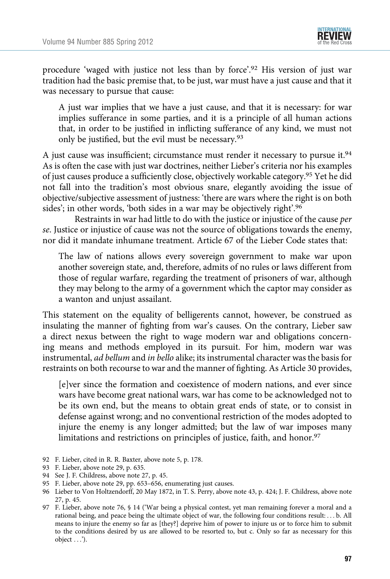procedure 'waged with justice not less than by force'.<sup>92</sup> His version of just war tradition had the basic premise that, to be just, war must have a just cause and that it was necessary to pursue that cause:

A just war implies that we have a just cause, and that it is necessary: for war implies sufferance in some parties, and it is a principle of all human actions that, in order to be justified in inflicting sufferance of any kind, we must not only be justified, but the evil must be necessary.<sup>93</sup>

A just cause was insufficient; circumstance must render it necessary to pursue it.94 As is often the case with just war doctrines, neither Lieber's criteria nor his examples of just causes produce a sufficiently close, objectively workable category.95 Yet he did not fall into the tradition's most obvious snare, elegantly avoiding the issue of objective/subjective assessment of justness: 'there are wars where the right is on both sides'; in other words, 'both sides in a war may be objectively right'.<sup>96</sup>

Restraints in war had little to do with the justice or injustice of the cause per se. Justice or injustice of cause was not the source of obligations towards the enemy, nor did it mandate inhumane treatment. Article 67 of the Lieber Code states that:

The law of nations allows every sovereign government to make war upon another sovereign state, and, therefore, admits of no rules or laws different from those of regular warfare, regarding the treatment of prisoners of war, although they may belong to the army of a government which the captor may consider as a wanton and unjust assailant.

This statement on the equality of belligerents cannot, however, be construed as insulating the manner of fighting from war's causes. On the contrary, Lieber saw a direct nexus between the right to wage modern war and obligations concerning means and methods employed in its pursuit. For him, modern war was instrumental, *ad bellum* and *in bello* alike; its instrumental character was the basis for restraints on both recourse to war and the manner of fighting. As Article 30 provides,

[e]ver since the formation and coexistence of modern nations, and ever since wars have become great national wars, war has come to be acknowledged not to be its own end, but the means to obtain great ends of state, or to consist in defense against wrong; and no conventional restriction of the modes adopted to injure the enemy is any longer admitted; but the law of war imposes many limitations and restrictions on principles of justice, faith, and honor.<sup>97</sup>

- 92 F. Lieber, cited in R. R. Baxter, above note 5, p. 178.
- 93 F. Lieber, above note 29, p. 635.
- 94 See J. F. Childress, above note 27, p. 45.
- 95 F. Lieber, above note 29, pp. 653–656, enumerating just causes.

<sup>96</sup> Lieber to Von Holtzendorff, 20 May 1872, in T. S. Perry, above note 43, p. 424; J. F. Childress, above note 27, p. 45.

<sup>97</sup> F. Lieber, above note 76, § 14 ('War being a physical contest, yet man remaining forever a moral and a rational being, and peace being the ultimate object of war, the following four conditions result: ... b. All means to injure the enemy so far as [they?] deprive him of power to injure us or to force him to submit to the conditions desired by us are allowed to be resorted to, but c. Only so far as necessary for this object ...').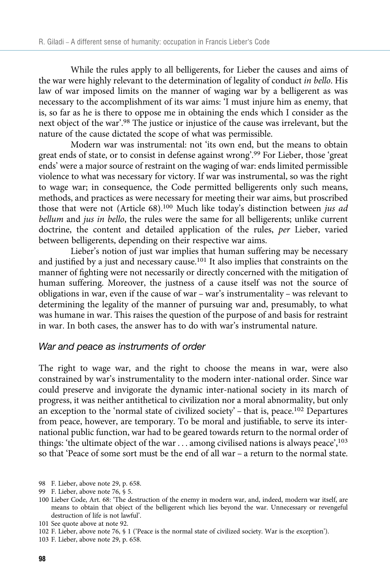While the rules apply to all belligerents, for Lieber the causes and aims of the war were highly relevant to the determination of legality of conduct in bello. His law of war imposed limits on the manner of waging war by a belligerent as was necessary to the accomplishment of its war aims: 'I must injure him as enemy, that is, so far as he is there to oppose me in obtaining the ends which I consider as the next object of the war'. <sup>98</sup> The justice or injustice of the cause was irrelevant, but the nature of the cause dictated the scope of what was permissible.

Modern war was instrumental: not 'its own end, but the means to obtain great ends of state, or to consist in defense against wrong'. <sup>99</sup> For Lieber, those 'great ends' were a major source of restraint on the waging of war: ends limited permissible violence to what was necessary for victory. If war was instrumental, so was the right to wage war; in consequence, the Code permitted belligerents only such means, methods, and practices as were necessary for meeting their war aims, but proscribed those that were not (Article 68).<sup>100</sup> Much like today's distinction between jus ad bellum and jus in bello, the rules were the same for all belligerents; unlike current doctrine, the content and detailed application of the rules, per Lieber, varied between belligerents, depending on their respective war aims.

Lieber's notion of just war implies that human suffering may be necessary and justified by a just and necessary cause.101 It also implies that constraints on the manner of fighting were not necessarily or directly concerned with the mitigation of human suffering. Moreover, the justness of a cause itself was not the source of obligations in war, even if the cause of war – war's instrumentality – was relevant to determining the legality of the manner of pursuing war and, presumably, to what was humane in war. This raises the question of the purpose of and basis for restraint in war. In both cases, the answer has to do with war's instrumental nature.

#### War and peace as instruments of order

The right to wage war, and the right to choose the means in war, were also constrained by war's instrumentality to the modern inter-national order. Since war could preserve and invigorate the dynamic inter-national society in its march of progress, it was neither antithetical to civilization nor a moral abnormality, but only an exception to the 'normal state of civilized society' – that is, peace.<sup>102</sup> Departures from peace, however, are temporary. To be moral and justifiable, to serve its international public function, war had to be geared towards return to the normal order of things: 'the ultimate object of the war . . . among civilised nations is always peace',<sup>103</sup> so that 'Peace of some sort must be the end of all war – a return to the normal state.

103 F. Lieber, above note 29, p. 658.

<sup>98</sup> F. Lieber, above note 29, p. 658.

<sup>99</sup> F. Lieber, above note 76, § 5.

<sup>100</sup> Lieber Code, Art. 68: 'The destruction of the enemy in modern war, and, indeed, modern war itself, are means to obtain that object of the belligerent which lies beyond the war. Unnecessary or revengeful destruction of life is not lawful'.

<sup>101</sup> See quote above at note 92.

<sup>102</sup> F. Lieber, above note 76, § 1 ('Peace is the normal state of civilized society. War is the exception').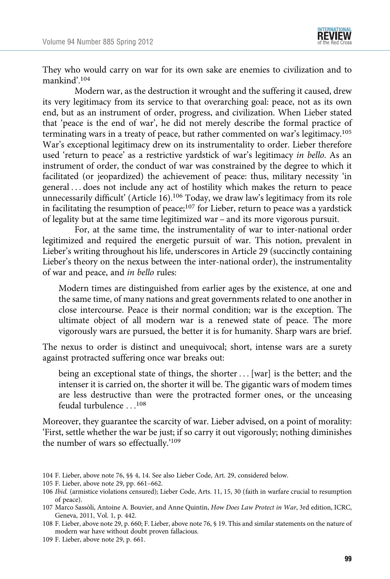They who would carry on war for its own sake are enemies to civilization and to mankind'. 104

Modern war, as the destruction it wrought and the suffering it caused, drew its very legitimacy from its service to that overarching goal: peace, not as its own end, but as an instrument of order, progress, and civilization. When Lieber stated that 'peace is the end of war', he did not merely describe the formal practice of terminating wars in a treaty of peace, but rather commented on war's legitimacy.105 War's exceptional legitimacy drew on its instrumentality to order. Lieber therefore used 'return to peace' as a restrictive yardstick of war's legitimacy in bello. As an instrument of order, the conduct of war was constrained by the degree to which it facilitated (or jeopardized) the achievement of peace: thus, military necessity 'in general ... does not include any act of hostility which makes the return to peace unnecessarily difficult' (Article 16).106 Today, we draw law's legitimacy from its role in facilitating the resumption of peace;<sup>107</sup> for Lieber, return to peace was a yardstick of legality but at the same time legitimized war – and its more vigorous pursuit.

For, at the same time, the instrumentality of war to inter-national order legitimized and required the energetic pursuit of war. This notion, prevalent in Lieber's writing throughout his life, underscores in Article 29 (succinctly containing Lieber's theory on the nexus between the inter-national order), the instrumentality of war and peace, and in bello rules:

Modern times are distinguished from earlier ages by the existence, at one and the same time, of many nations and great governments related to one another in close intercourse. Peace is their normal condition; war is the exception. The ultimate object of all modern war is a renewed state of peace. The more vigorously wars are pursued, the better it is for humanity. Sharp wars are brief.

The nexus to order is distinct and unequivocal; short, intense wars are a surety against protracted suffering once war breaks out:

being an exceptional state of things, the shorter ... [war] is the better; and the intenser it is carried on, the shorter it will be. The gigantic wars of modem times are less destructive than were the protracted former ones, or the unceasing feudal turbulence ...<sup>108</sup>

Moreover, they guarantee the scarcity of war. Lieber advised, on a point of morality: 'First, settle whether the war be just; if so carry it out vigorously; nothing diminishes the number of wars so effectually.' 109

- 104 F. Lieber, above note 76, §§ 4, 14. See also Lieber Code, Art. 29, considered below.
- 105 F. Lieber, above note 29, pp. 661–662.
- 106 Ibid. (armistice violations censured); Lieber Code, Arts. 11, 15, 30 (faith in warfare crucial to resumption of peace).
- 107 Marco Sassòli, Antoine A. Bouvier, and Anne Quintin, How Does Law Protect in War, 3rd edition, ICRC, Geneva, 2011, Vol. 1, p. 442.
- 108 F. Lieber, above note 29, p. 660; F. Lieber, above note 76, § 19. This and similar statements on the nature of modern war have without doubt proven fallacious.
- 109 F. Lieber, above note 29, p. 661.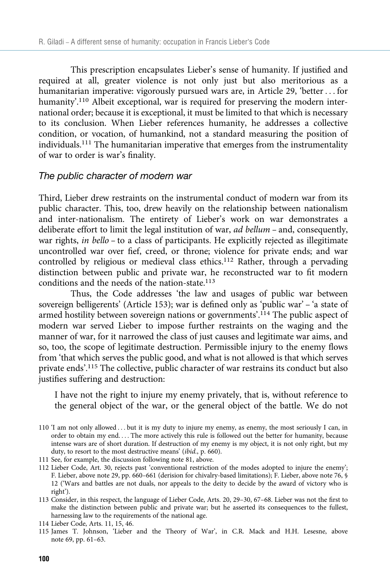This prescription encapsulates Lieber's sense of humanity. If justified and required at all, greater violence is not only just but also meritorious as a humanitarian imperative: vigorously pursued wars are, in Article 29, 'better ... for humanity'.<sup>110</sup> Albeit exceptional, war is required for preserving the modern international order; because it is exceptional, it must be limited to that which is necessary to its conclusion. When Lieber references humanity, he addresses a collective condition, or vocation, of humankind, not a standard measuring the position of individuals.111 The humanitarian imperative that emerges from the instrumentality of war to order is war's finality.

#### The public character of modern war

Third, Lieber drew restraints on the instrumental conduct of modern war from its public character. This, too, drew heavily on the relationship between nationalism and inter-nationalism. The entirety of Lieber's work on war demonstrates a deliberate effort to limit the legal institution of war, ad bellum – and, consequently, war rights, in bello - to a class of participants. He explicitly rejected as illegitimate uncontrolled war over fief, creed, or throne; violence for private ends; and war controlled by religious or medieval class ethics.<sup>112</sup> Rather, through a pervading distinction between public and private war, he reconstructed war to fit modern conditions and the needs of the nation-state.<sup>113</sup>

Thus, the Code addresses 'the law and usages of public war between sovereign belligerents' (Article 153); war is defined only as 'public war'–'a state of armed hostility between sovereign nations or governments'.<sup>114</sup> The public aspect of modern war served Lieber to impose further restraints on the waging and the manner of war, for it narrowed the class of just causes and legitimate war aims, and so, too, the scope of legitimate destruction. Permissible injury to the enemy flows from 'that which serves the public good, and what is not allowed is that which serves private ends'. <sup>115</sup> The collective, public character of war restrains its conduct but also justifies suffering and destruction:

I have not the right to injure my enemy privately, that is, without reference to the general object of the war, or the general object of the battle. We do not

<sup>110</sup> 'I am not only allowed ... but it is my duty to injure my enemy, as enemy, the most seriously I can, in order to obtain my end. ... The more actively this rule is followed out the better for humanity, because intense wars are of short duration. If destruction of my enemy is my object, it is not only right, but my duty, to resort to the most destructive means' (ibid., p. 660).

<sup>111</sup> See, for example, the discussion following note 81, above.

<sup>112</sup> Lieber Code, Art. 30, rejects past 'conventional restriction of the modes adopted to injure the enemy'; F. Lieber, above note 29, pp. 660–661 (derision for chivalry-based limitations); F. Lieber, above note 76, § 12 ('Wars and battles are not duals, nor appeals to the deity to decide by the award of victory who is right').

<sup>113</sup> Consider, in this respect, the language of Lieber Code, Arts. 20, 29–30, 67–68. Lieber was not the first to make the distinction between public and private war; but he asserted its consequences to the fullest, harnessing law to the requirements of the national age.

<sup>114</sup> Lieber Code, Arts. 11, 15, 46.

<sup>115</sup> James T. Johnson, 'Lieber and the Theory of War', in C.R. Mack and H.H. Lesesne, above note 69, pp. 61–63.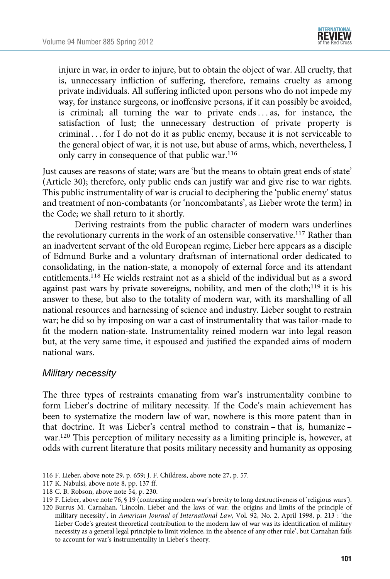

injure in war, in order to injure, but to obtain the object of war. All cruelty, that is, unnecessary infliction of suffering, therefore, remains cruelty as among private individuals. All suffering inflicted upon persons who do not impede my way, for instance surgeons, or inoffensive persons, if it can possibly be avoided, is criminal; all turning the war to private ends ... as, for instance, the satisfaction of lust; the unnecessary destruction of private property is criminal ... for I do not do it as public enemy, because it is not serviceable to the general object of war, it is not use, but abuse of arms, which, nevertheless, I only carry in consequence of that public war.<sup>116</sup>

Just causes are reasons of state; wars are 'but the means to obtain great ends of state' (Article 30); therefore, only public ends can justify war and give rise to war rights. This public instrumentality of war is crucial to deciphering the 'public enemy' status and treatment of non-combatants (or 'noncombatants', as Lieber wrote the term) in the Code; we shall return to it shortly.

Deriving restraints from the public character of modern wars underlines the revolutionary currents in the work of an ostensible conservative.117 Rather than an inadvertent servant of the old European regime, Lieber here appears as a disciple of Edmund Burke and a voluntary draftsman of international order dedicated to consolidating, in the nation-state, a monopoly of external force and its attendant entitlements.<sup>118</sup> He wields restraint not as a shield of the individual but as a sword against past wars by private sovereigns, nobility, and men of the cloth;<sup>119</sup> it is his answer to these, but also to the totality of modern war, with its marshalling of all national resources and harnessing of science and industry. Lieber sought to restrain war; he did so by imposing on war a cast of instrumentality that was tailor-made to fit the modern nation-state. Instrumentality reined modern war into legal reason but, at the very same time, it espoused and justified the expanded aims of modern national wars.

## Military necessity

The three types of restraints emanating from war's instrumentality combine to form Lieber's doctrine of military necessity. If the Code's main achievement has been to systematize the modern law of war, nowhere is this more patent than in that doctrine. It was Lieber's central method to constrain – that is, humanize – war.120 This perception of military necessity as a limiting principle is, however, at odds with current literature that posits military necessity and humanity as opposing

- 116 F. Lieber, above note 29, p. 659; J. F. Childress, above note 27, p. 57.
- 117 K. Nabulsi, above note 8, pp. 137 ff.
- 118 C. B. Robson, above note 54, p. 230.
- 119 F. Lieber, above note 76, § 19 (contrasting modern war's brevity to long destructiveness of 'religious wars').

<sup>120</sup> Burrus M. Carnahan, 'Lincoln, Lieber and the laws of war: the origins and limits of the principle of military necessity', in American Journal of International Law, Vol. 92, No. 2, April 1998, p. 213 : 'the Lieber Code's greatest theoretical contribution to the modern law of war was its identification of military necessity as a general legal principle to limit violence, in the absence of any other rule', but Carnahan fails to account for war's instrumentality in Lieber's theory.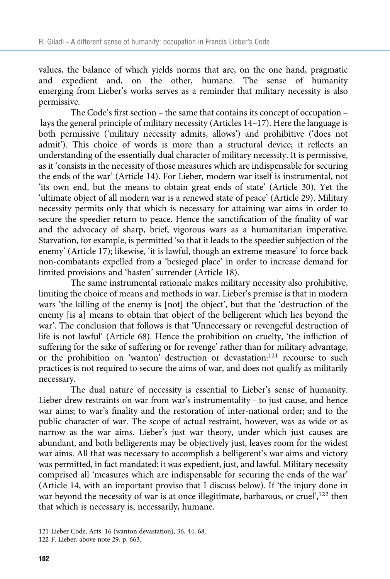values, the balance of which yields norms that are, on the one hand, pragmatic and expedient and, on the other, humane. The sense of humanity emerging from Lieber's works serves as a reminder that military necessity is also permissive.

The Code's first section – the same that contains its concept of occupation – lays the general principle of military necessity (Articles 14–17). Here the language is both permissive ('military necessity admits, allows') and prohibitive ('does not admit'). This choice of words is more than a structural device; it reflects an understanding of the essentially dual character of military necessity. It is permissive, as it 'consists in the necessity of those measures which are indispensable for securing the ends of the war' (Article 14). For Lieber, modern war itself is instrumental, not 'its own end, but the means to obtain great ends of state' (Article 30). Yet the 'ultimate object of all modern war is a renewed state of peace' (Article 29). Military necessity permits only that which is necessary for attaining war aims in order to secure the speedier return to peace. Hence the sanctification of the finality of war and the advocacy of sharp, brief, vigorous wars as a humanitarian imperative. Starvation, for example, is permitted 'so that it leads to the speedier subjection of the enemy' (Article 17); likewise, 'it is lawful, though an extreme measure' to force back non-combatants expelled from a 'besieged place' in order to increase demand for limited provisions and 'hasten' surrender (Article 18).

The same instrumental rationale makes military necessity also prohibitive, limiting the choice of means and methods in war. Lieber's premise is that in modern wars 'the killing of the enemy is [not] the object', but that the 'destruction of the enemy [is a] means to obtain that object of the belligerent which lies beyond the war'. The conclusion that follows is that 'Unnecessary or revengeful destruction of life is not lawful' (Article 68). Hence the prohibition on cruelty, 'the infliction of suffering for the sake of suffering or for revenge' rather than for military advantage, or the prohibition on 'wanton' destruction or devastation:121 recourse to such practices is not required to secure the aims of war, and does not qualify as militarily necessary.

The dual nature of necessity is essential to Lieber's sense of humanity. Lieber drew restraints on war from war's instrumentality – to just cause, and hence war aims; to war's finality and the restoration of inter-national order; and to the public character of war. The scope of actual restraint, however, was as wide or as narrow as the war aims. Lieber's just war theory, under which just causes are abundant, and both belligerents may be objectively just, leaves room for the widest war aims. All that was necessary to accomplish a belligerent's war aims and victory was permitted, in fact mandated: it was expedient, just, and lawful. Military necessity comprised all 'measures which are indispensable for securing the ends of the war' (Article 14, with an important proviso that I discuss below). If 'the injury done in war beyond the necessity of war is at once illegitimate, barbarous, or cruel',<sup>122</sup> then that which is necessary is, necessarily, humane.

<sup>121</sup> Lieber Code, Arts. 16 (wanton devastation), 36, 44, 68.

<sup>122</sup> F. Lieber, above note 29, p. 663.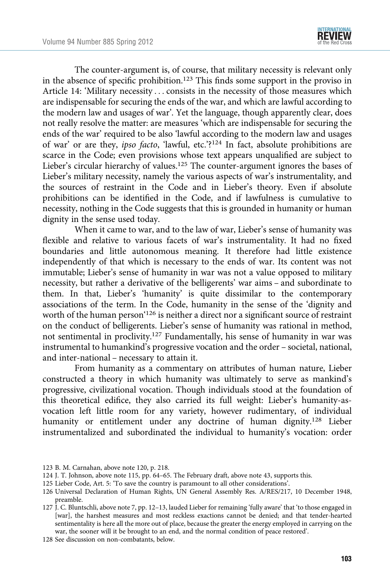

The counter-argument is, of course, that military necessity is relevant only in the absence of specific prohibition.123 This finds some support in the proviso in Article 14: 'Military necessity ... consists in the necessity of those measures which are indispensable for securing the ends of the war, and which are lawful according to the modern law and usages of war'. Yet the language, though apparently clear, does not really resolve the matter: are measures 'which are indispensable for securing the ends of the war' required to be also 'lawful according to the modern law and usages of war' or are they, ipso facto, 'lawful, etc.'?<sup>124</sup> In fact, absolute prohibitions are scarce in the Code; even provisions whose text appears unqualified are subject to Lieber's circular hierarchy of values.125 The counter-argument ignores the bases of Lieber's military necessity, namely the various aspects of war's instrumentality, and the sources of restraint in the Code and in Lieber's theory. Even if absolute prohibitions can be identified in the Code, and if lawfulness is cumulative to necessity, nothing in the Code suggests that this is grounded in humanity or human dignity in the sense used today.

When it came to war, and to the law of war, Lieber's sense of humanity was flexible and relative to various facets of war's instrumentality. It had no fixed boundaries and little autonomous meaning. It therefore had little existence independently of that which is necessary to the ends of war. Its content was not immutable; Lieber's sense of humanity in war was not a value opposed to military necessity, but rather a derivative of the belligerents' war aims – and subordinate to them. In that, Lieber's 'humanity' is quite dissimilar to the contemporary associations of the term. In the Code, humanity in the sense of the 'dignity and worth of the human person' <sup>126</sup> is neither a direct nor a significant source of restraint on the conduct of belligerents. Lieber's sense of humanity was rational in method, not sentimental in proclivity.127 Fundamentally, his sense of humanity in war was instrumental to humankind's progressive vocation and the order – societal, national, and inter-national – necessary to attain it.

From humanity as a commentary on attributes of human nature, Lieber constructed a theory in which humanity was ultimately to serve as mankind's progressive, civilizational vocation. Though individuals stood at the foundation of this theoretical edifice, they also carried its full weight: Lieber's humanity-asvocation left little room for any variety, however rudimentary, of individual humanity or entitlement under any doctrine of human dignity.128 Lieber instrumentalized and subordinated the individual to humanity's vocation: order

- 123 B. M. Carnahan, above note 120, p. 218.
- 124 J. T. Johnson, above note 115, pp. 64–65. The February draft, above note 43, supports this.
- 125 Lieber Code, Art. 5: 'To save the country is paramount to all other considerations'.

127 J. C. Bluntschli, above note 7, pp. 12–13, lauded Lieber for remaining 'fully aware' that 'to those engaged in [war], the harshest measures and most reckless exactions cannot be denied; and that tender-hearted sentimentality is here all the more out of place, because the greater the energy employed in carrying on the war, the sooner will it be brought to an end, and the normal condition of peace restored'.

128 See discussion on non-combatants, below.

<sup>126</sup> Universal Declaration of Human Rights, UN General Assembly Res. A/RES/217, 10 December 1948, preamble.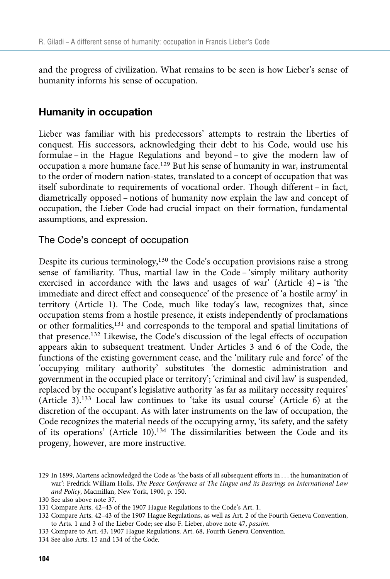and the progress of civilization. What remains to be seen is how Lieber's sense of humanity informs his sense of occupation.

# Humanity in occupation

Lieber was familiar with his predecessors' attempts to restrain the liberties of conquest. His successors, acknowledging their debt to his Code, would use his formulae – in the Hague Regulations and beyond – to give the modern law of occupation a more humane face.<sup>129</sup> But his sense of humanity in war, instrumental to the order of modern nation-states, translated to a concept of occupation that was itself subordinate to requirements of vocational order. Though different – in fact, diametrically opposed – notions of humanity now explain the law and concept of occupation, the Lieber Code had crucial impact on their formation, fundamental assumptions, and expression.

## The Code's concept of occupation

Despite its curious terminology,130 the Code's occupation provisions raise a strong sense of familiarity. Thus, martial law in the Code – 'simply military authority exercised in accordance with the laws and usages of war' (Article 4) – is 'the immediate and direct effect and consequence' of the presence of 'a hostile army' in territory (Article 1). The Code, much like today's law, recognizes that, since occupation stems from a hostile presence, it exists independently of proclamations or other formalities,131 and corresponds to the temporal and spatial limitations of that presence.132 Likewise, the Code's discussion of the legal effects of occupation appears akin to subsequent treatment. Under Articles 3 and 6 of the Code, the functions of the existing government cease, and the 'military rule and force' of the 'occupying military authority' substitutes 'the domestic administration and government in the occupied place or territory'; 'criminal and civil law' is suspended, replaced by the occupant's legislative authority 'as far as military necessity requires' (Article 3).133 Local law continues to 'take its usual course' (Article 6) at the discretion of the occupant. As with later instruments on the law of occupation, the Code recognizes the material needs of the occupying army, 'its safety, and the safety of its operations' (Article 10).134 The dissimilarities between the Code and its progeny, however, are more instructive.

134 See also Arts. 15 and 134 of the Code.

<sup>129</sup> In 1899, Martens acknowledged the Code as 'the basis of all subsequent efforts in ... the humanization of war': Fredrick William Holls, The Peace Conference at The Hague and its Bearings on International Law and Policy, Macmillan, New York, 1900, p. 150.

<sup>130</sup> See also above note 37.

<sup>131</sup> Compare Arts. 42–43 of the 1907 Hague Regulations to the Code's Art. 1.

<sup>132</sup> Compare Arts. 42–43 of the 1907 Hague Regulations, as well as Art. 2 of the Fourth Geneva Convention, to Arts. 1 and 3 of the Lieber Code; see also F. Lieber, above note 47, passim.

<sup>133</sup> Compare to Art. 43, 1907 Hague Regulations; Art. 68, Fourth Geneva Convention.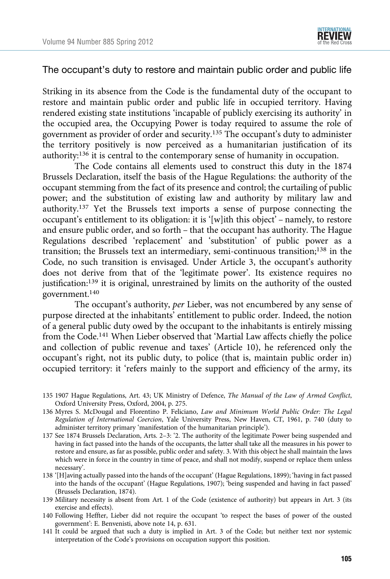## The occupant's duty to restore and maintain public order and public life

Striking in its absence from the Code is the fundamental duty of the occupant to restore and maintain public order and public life in occupied territory. Having rendered existing state institutions 'incapable of publicly exercising its authority' in the occupied area, the Occupying Power is today required to assume the role of government as provider of order and security.<sup>135</sup> The occupant's duty to administer the territory positively is now perceived as a humanitarian justification of its authority:136 it is central to the contemporary sense of humanity in occupation.

The Code contains all elements used to construct this duty in the 1874 Brussels Declaration, itself the basis of the Hague Regulations: the authority of the occupant stemming from the fact of its presence and control; the curtailing of public power; and the substitution of existing law and authority by military law and authority.137 Yet the Brussels text imports a sense of purpose connecting the occupant's entitlement to its obligation: it is '[w]ith this object' – namely, to restore and ensure public order, and so forth – that the occupant has authority. The Hague Regulations described 'replacement' and 'substitution' of public power as a transition; the Brussels text an intermediary, semi-continuous transition;138 in the Code, no such transition is envisaged. Under Article 3, the occupant's authority does not derive from that of the 'legitimate power'. Its existence requires no justification:139 it is original, unrestrained by limits on the authority of the ousted government.140

The occupant's authority, per Lieber, was not encumbered by any sense of purpose directed at the inhabitants' entitlement to public order. Indeed, the notion of a general public duty owed by the occupant to the inhabitants is entirely missing from the Code.141 When Lieber observed that 'Martial Law affects chiefly the police and collection of public revenue and taxes' (Article 10), he referenced only the occupant's right, not its public duty, to police (that is, maintain public order in) occupied territory: it 'refers mainly to the support and efficiency of the army, its

- 135 1907 Hague Regulations, Art. 43; UK Ministry of Defence, The Manual of the Law of Armed Conflict, Oxford University Press, Oxford, 2004, p. 275.
- 136 Myres S. McDougal and Florentino P. Feliciano, Law and Minimum World Public Order: The Legal Regulation of International Coercion, Yale University Press, New Haven, CT, 1961, p. 740 (duty to administer territory primary 'manifestation of the humanitarian principle').
- 137 See 1874 Brussels Declaration, Arts. 2–3: '2. The authority of the legitimate Power being suspended and having in fact passed into the hands of the occupants, the latter shall take all the measures in his power to restore and ensure, as far as possible, public order and safety. 3. With this object he shall maintain the laws which were in force in the country in time of peace, and shall not modify, suspend or replace them unless necessary'.
- 138 '[H]aving actually passed into the hands of the occupant' (Hague Regulations, 1899); 'having in fact passed into the hands of the occupant' (Hague Regulations, 1907); 'being suspended and having in fact passed' (Brussels Declaration, 1874).
- 139 Military necessity is absent from Art. 1 of the Code (existence of authority) but appears in Art. 3 (its exercise and effects).
- 140 Following Heffter, Lieber did not require the occupant 'to respect the bases of power of the ousted government': E. Benvenisti, above note 14, p. 631.
- 141 It could be argued that such a duty is implied in Art. 3 of the Code; but neither text nor systemic interpretation of the Code's provisions on occupation support this position.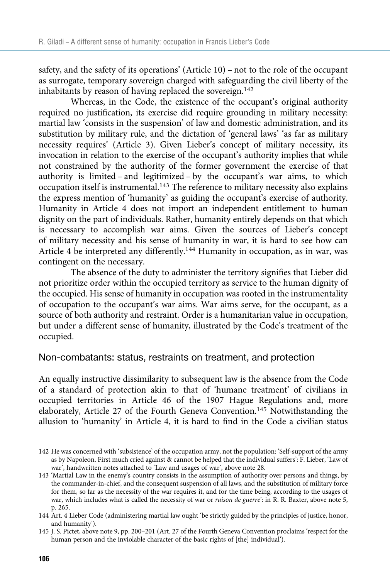safety, and the safety of its operations' (Article 10) – not to the role of the occupant as surrogate, temporary sovereign charged with safeguarding the civil liberty of the inhabitants by reason of having replaced the sovereign.<sup>142</sup>

Whereas, in the Code, the existence of the occupant's original authority required no justification, its exercise did require grounding in military necessity: martial law 'consists in the suspension' of law and domestic administration, and its substitution by military rule, and the dictation of 'general laws' 'as far as military necessity requires' (Article 3). Given Lieber's concept of military necessity, its invocation in relation to the exercise of the occupant's authority implies that while not constrained by the authority of the former government the exercise of that authority is limited – and legitimized – by the occupant's war aims, to which occupation itself is instrumental.143 The reference to military necessity also explains the express mention of 'humanity' as guiding the occupant's exercise of authority. Humanity in Article 4 does not import an independent entitlement to human dignity on the part of individuals. Rather, humanity entirely depends on that which is necessary to accomplish war aims. Given the sources of Lieber's concept of military necessity and his sense of humanity in war, it is hard to see how can Article 4 be interpreted any differently.<sup>144</sup> Humanity in occupation, as in war, was contingent on the necessary.

The absence of the duty to administer the territory signifies that Lieber did not prioritize order within the occupied territory as service to the human dignity of the occupied. His sense of humanity in occupation was rooted in the instrumentality of occupation to the occupant's war aims. War aims serve, for the occupant, as a source of both authority and restraint. Order is a humanitarian value in occupation, but under a different sense of humanity, illustrated by the Code's treatment of the occupied.

#### Non-combatants: status, restraints on treatment, and protection

An equally instructive dissimilarity to subsequent law is the absence from the Code of a standard of protection akin to that of 'humane treatment' of civilians in occupied territories in Article 46 of the 1907 Hague Regulations and, more elaborately, Article 27 of the Fourth Geneva Convention.<sup>145</sup> Notwithstanding the allusion to 'humanity' in Article 4, it is hard to find in the Code a civilian status

<sup>142</sup> He was concerned with 'subsistence' of the occupation army, not the population: 'Self-support of the army as by Napoleon. First much cried against & cannot be helped that the individual suffers': F. Lieber, 'Law of war', handwritten notes attached to 'Law and usages of war', above note 28.

<sup>143</sup> 'Martial Law in the enemy's country consists in the assumption of authority over persons and things, by the commander-in-chief, and the consequent suspension of all laws, and the substitution of military force for them, so far as the necessity of the war requires it, and for the time being, according to the usages of war, which includes what is called the necessity of war or raison de guerre': in R. R. Baxter, above note 5, p. 265.

<sup>144</sup> Art. 4 Lieber Code (administering martial law ought 'be strictly guided by the principles of justice, honor, and humanity').

<sup>145</sup> J. S. Pictet, above note 9, pp. 200–201 (Art. 27 of the Fourth Geneva Convention proclaims 'respect for the human person and the inviolable character of the basic rights of [the] individual').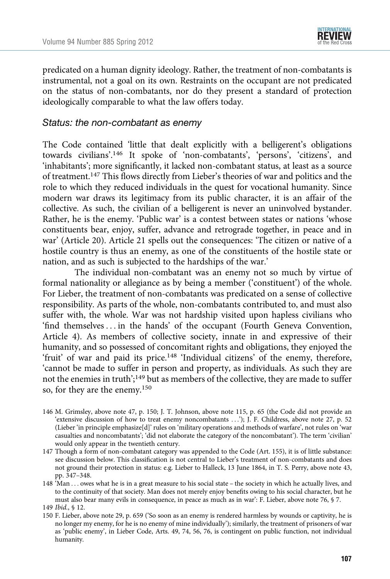

predicated on a human dignity ideology. Rather, the treatment of non-combatants is instrumental, not a goal on its own. Restraints on the occupant are not predicated on the status of non-combatants, nor do they present a standard of protection ideologically comparable to what the law offers today.

#### Status: the non-combatant as enemy

The Code contained 'little that dealt explicitly with a belligerent's obligations towards civilians'. <sup>146</sup> It spoke of 'non-combatants', 'persons', 'citizens', and 'inhabitants'; more significantly, it lacked non-combatant status, at least as a source of treatment.147 This flows directly from Lieber's theories of war and politics and the role to which they reduced individuals in the quest for vocational humanity. Since modern war draws its legitimacy from its public character, it is an affair of the collective. As such, the civilian of a belligerent is never an uninvolved bystander. Rather, he is the enemy. 'Public war' is a contest between states or nations 'whose constituents bear, enjoy, suffer, advance and retrograde together, in peace and in war' (Article 20). Article 21 spells out the consequences: 'The citizen or native of a hostile country is thus an enemy, as one of the constituents of the hostile state or nation, and as such is subjected to the hardships of the war.'

The individual non-combatant was an enemy not so much by virtue of formal nationality or allegiance as by being a member ('constituent') of the whole. For Lieber, the treatment of non-combatants was predicated on a sense of collective responsibility. As parts of the whole, non-combatants contributed to, and must also suffer with, the whole. War was not hardship visited upon hapless civilians who 'find themselves ... in the hands' of the occupant (Fourth Geneva Convention, Article 4). As members of collective society, innate in and expressive of their humanity, and so possessed of concomitant rights and obligations, they enjoyed the 'fruit' of war and paid its price.<sup>148</sup> 'Individual citizens' of the enemy, therefore, 'cannot be made to suffer in person and property, as individuals. As such they are not the enemies in truth';<sup>149</sup> but as members of the collective, they are made to suffer so, for they are the enemy.<sup>150</sup>

- 146 M. Grimsley, above note 47, p. 150; J. T. Johnson, above note 115, p. 65 (the Code did not provide an 'extensive discussion of how to treat enemy noncombatants ...'); J. F. Childress, above note 27, p. 52 (Lieber 'in principle emphasize[d]' rules on 'military operations and methods of warfare', not rules on 'war casualties and noncombatants'; 'did not elaborate the category of the noncombatant'). The term 'civilian' would only appear in the twentieth century.
- 147 Though a form of non-combatant category was appended to the Code (Art. 155), it is of little substance: see discussion below. This classification is not central to Lieber's treatment of non-combatants and does not ground their protection in status: e.g. Lieber to Halleck, 13 June 1864, in T. S. Perry, above note 43, pp. 347–348.
- 148 'Man ... owes what he is in a great measure to his social state the society in which he actually lives, and to the continuity of that society. Man does not merely enjoy benefits owing to his social character, but he must also bear many evils in consequence, in peace as much as in war': F. Lieber, above note 76, § 7.
- 149 Ibid., § 12.
- 150 F. Lieber, above note 29, p. 659 ('So soon as an enemy is rendered harmless by wounds or captivity, he is no longer my enemy, for he is no enemy of mine individually'); similarly, the treatment of prisoners of war as 'public enemy', in Lieber Code, Arts. 49, 74, 56, 76, is contingent on public function, not individual humanity.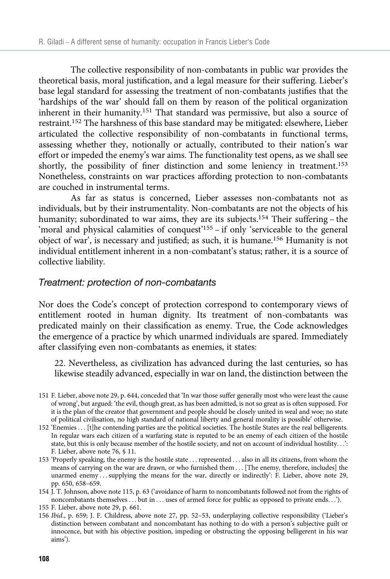The collective responsibility of non-combatants in public war provides the theoretical basis, moral justification, and a legal measure for their suffering. Lieber's base legal standard for assessing the treatment of non-combatants justifies that the 'hardships of the war' should fall on them by reason of the political organization inherent in their humanity.<sup>151</sup> That standard was permissive, but also a source of restraint.152 The harshness of this base standard may be mitigated: elsewhere, Lieber articulated the collective responsibility of non-combatants in functional terms, assessing whether they, notionally or actually, contributed to their nation's war effort or impeded the enemy's war aims. The functionality test opens, as we shall see shortly, the possibility of finer distinction and some leniency in treatment.<sup>153</sup> Nonetheless, constraints on war practices affording protection to non-combatants are couched in instrumental terms.

As far as status is concerned, Lieber assesses non-combatants not as individuals, but by their instrumentality. Non-combatants are not the objects of his humanity; subordinated to war aims, they are its subjects.<sup>154</sup> Their suffering – the 'moral and physical calamities of conquest'<sup>155</sup> - if only 'serviceable to the general object of war', is necessary and justified; as such, it is humane.156 Humanity is not individual entitlement inherent in a non-combatant's status; rather, it is a source of collective liability.

#### Treatment: protection of non-combatants

Nor does the Code's concept of protection correspond to contemporary views of entitlement rooted in human dignity. Its treatment of non-combatants was predicated mainly on their classification as enemy. True, the Code acknowledges the emergence of a practice by which unarmed individuals are spared. Immediately after classifying even non-combatants as enemies, it states:

22. Nevertheless, as civilization has advanced during the last centuries, so has likewise steadily advanced, especially in war on land, the distinction between the

- 151 F. Lieber, above note 29, p. 644, conceded that 'In war those suffer generally most who were least the cause of wrong', but argued: 'the evil, though great, as has been admitted, is not so great as is often supposed. For it is the plan of the creator that government and people should be closely united in weal and woe; no state of political civilisation, no high standard of national liberty and general morality is possible' otherwise.
- 152 'Enemies ... [t]he contending parties are the political societies. The hostile States are the real belligerents. In regular wars each citizen of a warfaring state is reputed to be an enemy of each citizen of the hostile state, but this is only because member of the hostile society, and not on account of individual hostility...': F. Lieber, above note 76, § 11.
- 153 'Properly speaking, the enemy is the hostile state ... represented ... also in all its citizens, from whom the means of carrying on the war are drawn, or who furnished them ... [The enemy, therefore, includes] the unarmed enemy ... supplying the means for the war, directly or indirectly': F. Lieber, above note 29, pp. 650, 658–659.
- 154 J. T. Johnson, above note 115, p. 63 ('avoidance of harm to noncombatants followed not from the rights of noncombatants themselves ... but in ... uses of armed force for public as opposed to private ends...').
- 155 F. Lieber, above note 29, p. 661.
- 156 Ibid., p. 659; J. F. Childress, above note 27, pp. 52–53, underplaying collective responsibility ('Lieber's distinction between combatant and noncombatant has nothing to do with a person's subjective guilt or innocence, but with his objective position, impeding or obstructing the opposing belligerent in his war aims').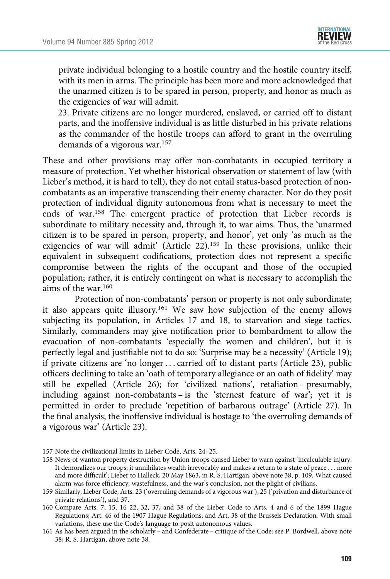

private individual belonging to a hostile country and the hostile country itself, with its men in arms. The principle has been more and more acknowledged that the unarmed citizen is to be spared in person, property, and honor as much as the exigencies of war will admit.

23. Private citizens are no longer murdered, enslaved, or carried off to distant parts, and the inoffensive individual is as little disturbed in his private relations as the commander of the hostile troops can afford to grant in the overruling demands of a vigorous war.157

These and other provisions may offer non-combatants in occupied territory a measure of protection. Yet whether historical observation or statement of law (with Lieber's method, it is hard to tell), they do not entail status-based protection of noncombatants as an imperative transcending their enemy character. Nor do they posit protection of individual dignity autonomous from what is necessary to meet the ends of war.<sup>158</sup> The emergent practice of protection that Lieber records is subordinate to military necessity and, through it, to war aims. Thus, the 'unarmed citizen is to be spared in person, property, and honor', yet only 'as much as the exigencies of war will admit' (Article 22).159 In these provisions, unlike their equivalent in subsequent codifications, protection does not represent a specific compromise between the rights of the occupant and those of the occupied population; rather, it is entirely contingent on what is necessary to accomplish the aims of the war.160

Protection of non-combatants' person or property is not only subordinate; it also appears quite illusory.<sup>161</sup> We saw how subjection of the enemy allows subjecting its population, in Articles 17 and 18, to starvation and siege tactics. Similarly, commanders may give notification prior to bombardment to allow the evacuation of non-combatants 'especially the women and children', but it is perfectly legal and justifiable not to do so: 'Surprise may be a necessity' (Article 19); if private citizens are 'no longer ... carried off to distant parts (Article 23), public officers declining to take an 'oath of temporary allegiance or an oath of fidelity' may still be expelled (Article 26); for 'civilized nations', retaliation – presumably, including against non-combatants – is the 'sternest feature of war'; yet it is permitted in order to preclude 'repetition of barbarous outrage' (Article 27). In the final analysis, the inoffensive individual is hostage to 'the overruling demands of a vigorous war' (Article 23).

<sup>157</sup> Note the civilizational limits in Lieber Code, Arts. 24–25.

<sup>158</sup> News of wanton property destruction by Union troops caused Lieber to warn against 'incalculable injury. It demoralizes our troops; it annihilates wealth irrevocably and makes a return to a state of peace ... more and more difficult'; Lieber to Halleck, 20 May 1863, in R. S. Hartigan, above note 38, p. 109. What caused alarm was force efficiency, wastefulness, and the war's conclusion, not the plight of civilians.

<sup>159</sup> Similarly, Lieber Code, Arts. 23 ('overruling demands of a vigorous war'), 25 ('privation and disturbance of private relations'), and 37.

<sup>160</sup> Compare Arts. 7, 15, 16 22, 32, 37, and 38 of the Lieber Code to Arts. 4 and 6 of the 1899 Hague Regulations; Art. 46 of the 1907 Hague Regulations; and Art. 38 of the Brussels Declaration. With small variations, these use the Code's language to posit autonomous values.

<sup>161</sup> As has been argued in the scholarly – and Confederate – critique of the Code: see P. Bordwell, above note 38; R. S. Hartigan, above note 38.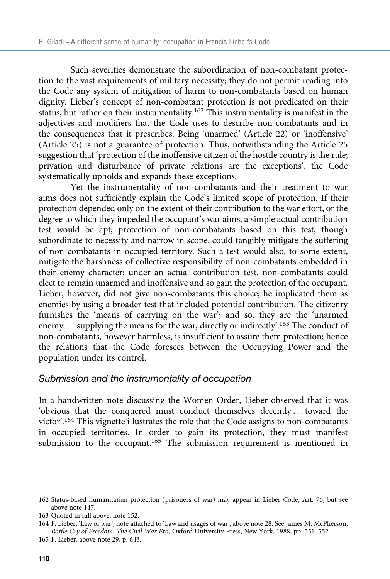Such severities demonstrate the subordination of non-combatant protection to the vast requirements of military necessity; they do not permit reading into the Code any system of mitigation of harm to non-combatants based on human dignity. Lieber's concept of non-combatant protection is not predicated on their status, but rather on their instrumentality.<sup>162</sup> This instrumentality is manifest in the adjectives and modifiers that the Code uses to describe non-combatants and in the consequences that it prescribes. Being 'unarmed' (Article 22) or 'inoffensive' (Article 25) is not a guarantee of protection. Thus, notwithstanding the Article 25 suggestion that 'protection of the inoffensive citizen of the hostile country is the rule; privation and disturbance of private relations are the exceptions', the Code systematically upholds and expands these exceptions.

Yet the instrumentality of non-combatants and their treatment to war aims does not sufficiently explain the Code's limited scope of protection. If their protection depended only on the extent of their contribution to the war effort, or the degree to which they impeded the occupant's war aims, a simple actual contribution test would be apt; protection of non-combatants based on this test, though subordinate to necessity and narrow in scope, could tangibly mitigate the suffering of non-combatants in occupied territory. Such a test would also, to some extent, mitigate the harshness of collective responsibility of non-combatants embedded in their enemy character: under an actual contribution test, non-combatants could elect to remain unarmed and inoffensive and so gain the protection of the occupant. Lieber, however, did not give non-combatants this choice; he implicated them as enemies by using a broader test that included potential contribution. The citizenry furnishes the 'means of carrying on the war'; and so, they are the 'unarmed enemy . . . supplying the means for the war, directly or indirectly'.<sup>163</sup> The conduct of non-combatants, however harmless, is insufficient to assure them protection; hence the relations that the Code foresees between the Occupying Power and the population under its control.

#### Submission and the instrumentality of occupation

In a handwritten note discussing the Women Order, Lieber observed that it was 'obvious that the conquered must conduct themselves decently ... toward the victor'. <sup>164</sup> This vignette illustrates the role that the Code assigns to non-combatants in occupied territories. In order to gain its protection, they must manifest submission to the occupant.165 The submission requirement is mentioned in

<sup>162</sup> Status-based humanitarian protection (prisoners of war) may appear in Lieber Code, Art. 76, but see above note 147.

<sup>163</sup> Quoted in full above, note 152.

<sup>164</sup> F. Lieber, 'Law of war', note attached to 'Law and usages of war', above note 28. See James M. McPherson, Battle Cry of Freedom: The Civil War Era, Oxford University Press, New York, 1988, pp. 551–552.

<sup>165</sup> F. Lieber, above note 29, p. 643.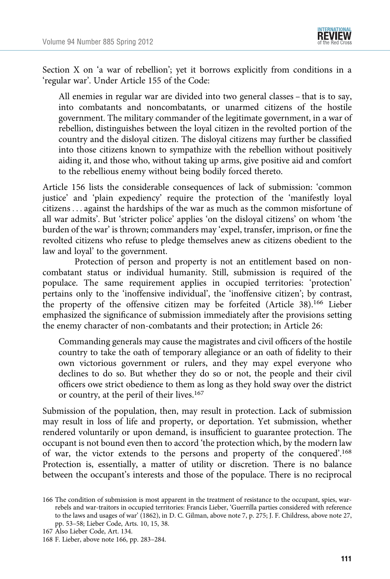

Section X on 'a war of rebellion'; yet it borrows explicitly from conditions in a 'regular war'. Under Article 155 of the Code:

All enemies in regular war are divided into two general classes – that is to say, into combatants and noncombatants, or unarmed citizens of the hostile government. The military commander of the legitimate government, in a war of rebellion, distinguishes between the loyal citizen in the revolted portion of the country and the disloyal citizen. The disloyal citizens may further be classified into those citizens known to sympathize with the rebellion without positively aiding it, and those who, without taking up arms, give positive aid and comfort to the rebellious enemy without being bodily forced thereto.

Article 156 lists the considerable consequences of lack of submission: 'common justice' and 'plain expediency' require the protection of the 'manifestly loyal citizens ... against the hardships of the war as much as the common misfortune of all war admits'. But 'stricter police' applies 'on the disloyal citizens' on whom 'the burden of the war' is thrown; commanders may 'expel, transfer, imprison, or fine the revolted citizens who refuse to pledge themselves anew as citizens obedient to the law and loyal' to the government.

Protection of person and property is not an entitlement based on noncombatant status or individual humanity. Still, submission is required of the populace. The same requirement applies in occupied territories: 'protection' pertains only to the 'inoffensive individual', the 'inoffensive citizen'; by contrast, the property of the offensive citizen may be forfeited (Article 38).166 Lieber emphasized the significance of submission immediately after the provisions setting the enemy character of non-combatants and their protection; in Article 26:

Commanding generals may cause the magistrates and civil officers of the hostile country to take the oath of temporary allegiance or an oath of fidelity to their own victorious government or rulers, and they may expel everyone who declines to do so. But whether they do so or not, the people and their civil officers owe strict obedience to them as long as they hold sway over the district or country, at the peril of their lives.<sup>167</sup>

Submission of the population, then, may result in protection. Lack of submission may result in loss of life and property, or deportation. Yet submission, whether rendered voluntarily or upon demand, is insufficient to guarantee protection. The occupant is not bound even then to accord 'the protection which, by the modern law of war, the victor extends to the persons and property of the conquered'. 168 Protection is, essentially, a matter of utility or discretion. There is no balance between the occupant's interests and those of the populace. There is no reciprocal

<sup>166</sup> The condition of submission is most apparent in the treatment of resistance to the occupant, spies, warrebels and war-traitors in occupied territories: Francis Lieber, 'Guerrilla parties considered with reference to the laws and usages of war' (1862), in D. C. Gilman, above note 7, p. 275; J. F. Childress, above note 27, pp. 53–58; Lieber Code, Arts. 10, 15, 38.

<sup>167</sup> Also Lieber Code, Art. 134.

<sup>168</sup> F. Lieber, above note 166, pp. 283–284.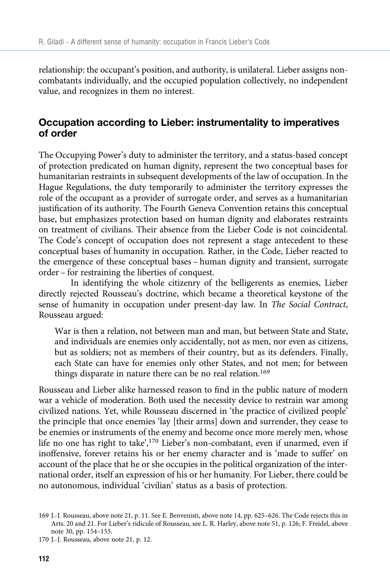relationship: the occupant's position, and authority, is unilateral. Lieber assigns noncombatants individually, and the occupied population collectively, no independent value, and recognizes in them no interest.

## Occupation according to Lieber: instrumentality to imperatives of order

The Occupying Power's duty to administer the territory, and a status-based concept of protection predicated on human dignity, represent the two conceptual bases for humanitarian restraints in subsequent developments of the law of occupation. In the Hague Regulations, the duty temporarily to administer the territory expresses the role of the occupant as a provider of surrogate order, and serves as a humanitarian justification of its authority. The Fourth Geneva Convention retains this conceptual base, but emphasizes protection based on human dignity and elaborates restraints on treatment of civilians. Their absence from the Lieber Code is not coincidental. The Code's concept of occupation does not represent a stage antecedent to these conceptual bases of humanity in occupation. Rather, in the Code, Lieber reacted to the emergence of these conceptual bases – human dignity and transient, surrogate order – for restraining the liberties of conquest.

In identifying the whole citizenry of the belligerents as enemies, Lieber directly rejected Rousseau's doctrine, which became a theoretical keystone of the sense of humanity in occupation under present-day law. In The Social Contract, Rousseau argued:

War is then a relation, not between man and man, but between State and State, and individuals are enemies only accidentally, not as men, nor even as citizens, but as soldiers; not as members of their country, but as its defenders. Finally, each State can have for enemies only other States, and not men; for between things disparate in nature there can be no real relation.<sup>169</sup>

Rousseau and Lieber alike harnessed reason to find in the public nature of modern war a vehicle of moderation. Both used the necessity device to restrain war among civilized nations. Yet, while Rousseau discerned in 'the practice of civilized people' the principle that once enemies 'lay [their arms] down and surrender, they cease to be enemies or instruments of the enemy and become once more merely men, whose life no one has right to take', <sup>170</sup> Lieber's non-combatant, even if unarmed, even if inoffensive, forever retains his or her enemy character and is 'made to suffer' on account of the place that he or she occupies in the political organization of the international order, itself an expression of his or her humanity. For Lieber, there could be no autonomous, individual 'civilian' status as a basis of protection.

<sup>169</sup> J.-J. Rousseau, above note 21, p. 11. See E. Benvenisti, above note 14, pp. 625–626. The Code rejects this in Arts. 20 and 21. For Lieber's ridicule of Rousseau, see L. R. Harley, above note 51, p. 126; F. Freidel, above note 30, pp. 154–155.

<sup>170</sup> J.-J. Rousseau, above note 21, p. 12.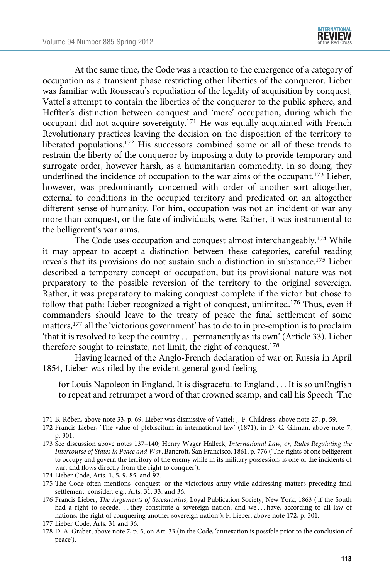At the same time, the Code was a reaction to the emergence of a category of occupation as a transient phase restricting other liberties of the conqueror. Lieber was familiar with Rousseau's repudiation of the legality of acquisition by conquest, Vattel's attempt to contain the liberties of the conqueror to the public sphere, and Heffter's distinction between conquest and 'mere' occupation, during which the occupant did not acquire sovereignty.171 He was equally acquainted with French Revolutionary practices leaving the decision on the disposition of the territory to liberated populations.172 His successors combined some or all of these trends to restrain the liberty of the conqueror by imposing a duty to provide temporary and surrogate order, however harsh, as a humanitarian commodity. In so doing, they underlined the incidence of occupation to the war aims of the occupant.<sup>173</sup> Lieber, however, was predominantly concerned with order of another sort altogether, external to conditions in the occupied territory and predicated on an altogether different sense of humanity. For him, occupation was not an incident of war any more than conquest, or the fate of individuals, were. Rather, it was instrumental to the belligerent's war aims.

The Code uses occupation and conquest almost interchangeably.174 While it may appear to accept a distinction between these categories, careful reading reveals that its provisions do not sustain such a distinction in substance.175 Lieber described a temporary concept of occupation, but its provisional nature was not preparatory to the possible reversion of the territory to the original sovereign. Rather, it was preparatory to making conquest complete if the victor but chose to follow that path: Lieber recognized a right of conquest, unlimited.176 Thus, even if commanders should leave to the treaty of peace the final settlement of some matters,177 all the 'victorious government' has to do to in pre-emption is to proclaim 'that it is resolved to keep the country ... permanently as its own' (Article 33). Lieber therefore sought to reinstate, not limit, the right of conquest.<sup>178</sup>

Having learned of the Anglo-French declaration of war on Russia in April 1854, Lieber was riled by the evident general good feeling

for Louis Napoleon in England. It is disgraceful to England ... It is so unEnglish to repeat and retrumpet a word of that crowned scamp, and call his Speech 'The

- 173 See discussion above notes 137–140; Henry Wager Halleck, International Law, or, Rules Regulating the Intercourse of States in Peace and War, Bancroft, San Francisco, 1861, p. 776 ('The rights of one belligerent to occupy and govern the territory of the enemy while in its military possession, is one of the incidents of war, and flows directly from the right to conquer').
- 174 Lieber Code, Arts. 1, 5, 9, 85, and 92.
- 175 The Code often mentions 'conquest' or the victorious army while addressing matters preceding final settlement: consider, e.g., Arts. 31, 33, and 36.
- 176 Francis Lieber, The Arguments of Secessionists, Loyal Publication Society, New York, 1863 ('if the South had a right to secede, ... they constitute a sovereign nation, and we ... have, according to all law of nations, the right of conquering another sovereign nation'); F. Lieber, above note 172, p. 301.
- 177 Lieber Code, Arts. 31 and 36.
- 178 D. A. Graber, above note 7, p. 5, on Art. 33 (in the Code, 'annexation is possible prior to the conclusion of peace').

<sup>171</sup> B. Röben, above note 33, p. 69. Lieber was dismissive of Vattel: J. F. Childress, above note 27, p. 59.

<sup>172</sup> Francis Lieber, 'The value of plebiscitum in international law' (1871), in D. C. Gilman, above note 7, p. 301.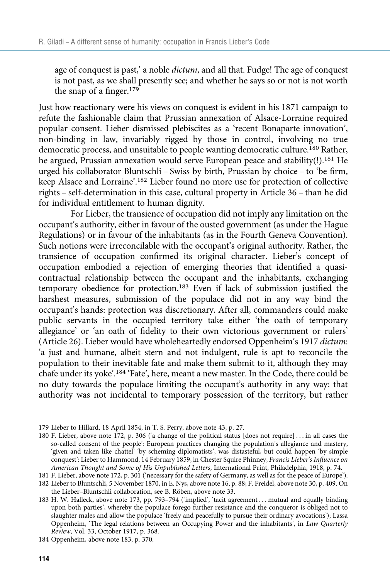age of conquest is past,' a noble *dictum*, and all that. Fudge! The age of conquest is not past, as we shall presently see; and whether he says so or not is not worth the snap of a finger.<sup>179</sup>

Just how reactionary were his views on conquest is evident in his 1871 campaign to refute the fashionable claim that Prussian annexation of Alsace-Lorraine required popular consent. Lieber dismissed plebiscites as a 'recent Bonaparte innovation', non-binding in law, invariably rigged by those in control, involving no true democratic process, and unsuitable to people wanting democratic culture.<sup>180</sup> Rather, he argued, Prussian annexation would serve European peace and stability(!).<sup>181</sup> He urged his collaborator Bluntschli – Swiss by birth, Prussian by choice – to 'be firm, keep Alsace and Lorraine'. <sup>182</sup> Lieber found no more use for protection of collective rights – self-determination in this case, cultural property in Article 36 – than he did for individual entitlement to human dignity.

For Lieber, the transience of occupation did not imply any limitation on the occupant's authority, either in favour of the ousted government (as under the Hague Regulations) or in favour of the inhabitants (as in the Fourth Geneva Convention). Such notions were irreconcilable with the occupant's original authority. Rather, the transience of occupation confirmed its original character. Lieber's concept of occupation embodied a rejection of emerging theories that identified a quasicontractual relationship between the occupant and the inhabitants, exchanging temporary obedience for protection.183 Even if lack of submission justified the harshest measures, submission of the populace did not in any way bind the occupant's hands: protection was discretionary. After all, commanders could make public servants in the occupied territory take either 'the oath of temporary allegiance' or 'an oath of fidelity to their own victorious government or rulers' (Article 26). Lieber would have wholeheartedly endorsed Oppenheim's 1917 dictum: 'a just and humane, albeit stern and not indulgent, rule is apt to reconcile the population to their inevitable fate and make them submit to it, although they may chafe under its yoke'. <sup>184</sup> 'Fate', here, meant a new master. In the Code, there could be no duty towards the populace limiting the occupant's authority in any way: that authority was not incidental to temporary possession of the territory, but rather

<sup>179</sup> Lieber to Hillard, 18 April 1854, in T. S. Perry, above note 43, p. 27.

<sup>180</sup> F. Lieber, above note 172, p. 306 ('a change of the political status [does not require] ... in all cases the so-called consent of the people': European practices changing the population's allegiance and mastery, 'given and taken like chattel' 'by scheming diplomatists', was distasteful, but could happen 'by simple conquest': Lieber to Hammond, 14 February 1859, in Chester Squire Phinney, Francis Lieber's Influence on American Thought and Some of His Unpublished Letters, International Print, Philadelphia, 1918, p. 74.

<sup>181</sup> F. Lieber, above note 172, p. 301 ('necessary for the safety of Germany, as well as for the peace of Europe').

<sup>182</sup> Lieber to Bluntschli, 5 November 1870, in E. Nys, above note 16, p. 88; F. Freidel, above note 30, p. 409. On the Lieber–Bluntschli collaboration, see B. Röben, above note 33.

<sup>183</sup> H. W. Halleck, above note 173, pp. 793–794 ('implied', 'tacit agreement ... mutual and equally binding upon both parties', whereby the populace forego further resistance and the conqueror is obliged not to slaughter males and allow the populace 'freely and peacefully to pursue their ordinary avocations'); Lassa Oppenheim, 'The legal relations between an Occupying Power and the inhabitants', in Law Quarterly Review, Vol. 33, October 1917, p. 368.

<sup>184</sup> Oppenheim, above note 183, p. 370.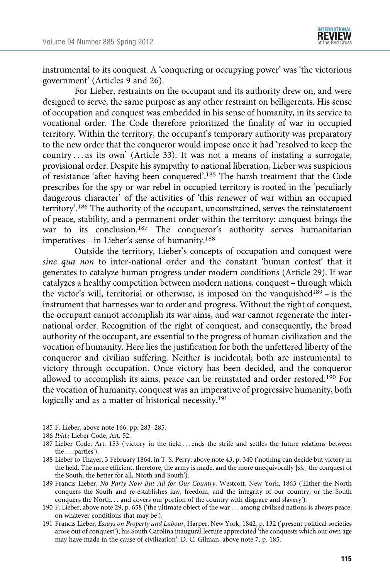

instrumental to its conquest. A 'conquering or occupying power' was 'the victorious government' (Articles 9 and 26).

For Lieber, restraints on the occupant and its authority drew on, and were designed to serve, the same purpose as any other restraint on belligerents. His sense of occupation and conquest was embedded in his sense of humanity, in its service to vocational order. The Code therefore prioritized the finality of war in occupied territory. Within the territory, the occupant's temporary authority was preparatory to the new order that the conqueror would impose once it had 'resolved to keep the country ... as its own' (Article 33). It was not a means of instating a surrogate, provisional order. Despite his sympathy to national liberation, Lieber was suspicious of resistance 'after having been conquered'.<sup>185</sup> The harsh treatment that the Code prescribes for the spy or war rebel in occupied territory is rooted in the 'peculiarly dangerous character' of the activities of 'this renewer of war within an occupied territory'.<sup>186</sup> The authority of the occupant, unconstrained, serves the reinstatement of peace, stability, and a permanent order within the territory: conquest brings the war to its conclusion.<sup>187</sup> The conqueror's authority serves humanitarian imperatives – in Lieber's sense of humanity.<sup>188</sup>

Outside the territory, Lieber's concepts of occupation and conquest were sine qua non to inter-national order and the constant 'human contest' that it generates to catalyze human progress under modern conditions (Article 29). If war catalyzes a healthy competition between modern nations, conquest – through which the victor's will, territorial or otherwise, is imposed on the vanquished189 – is the instrument that harnesses war to order and progress. Without the right of conquest, the occupant cannot accomplish its war aims, and war cannot regenerate the international order. Recognition of the right of conquest, and consequently, the broad authority of the occupant, are essential to the progress of human civilization and the vocation of humanity. Here lies the justification for both the unfettered liberty of the conqueror and civilian suffering. Neither is incidental; both are instrumental to victory through occupation. Once victory has been decided, and the conqueror allowed to accomplish its aims, peace can be reinstated and order restored.<sup>190</sup> For the vocation of humanity, conquest was an imperative of progressive humanity, both logically and as a matter of historical necessity.<sup>191</sup>

- 185 F. Lieber, above note 166, pp. 283–285.
- 186 Ibid.; Lieber Code, Art. 52.
- 187 Lieber Code, Art. 153 ('victory in the field ... ends the strife and settles the future relations between the ... parties').
- 188 Lieber to Thayer, 3 February 1864, in T. S. Perry, above note 43, p. 340 ('nothing can decide but victory in the field. The more efficient, therefore, the army is made, and the more unequivocally [sic] the conquest of the South, the better for all, North and South').
- 189 Francis Lieber, No Party Now But All for Our Country, Westcott, New York, 1863 ('Either the North conquers the South and re-establishes law, freedom, and the integrity of our country, or the South conquers the North... and covers our portion of the country with disgrace and slavery').
- 190 F. Lieber, above note 29, p. 658 ('the ultimate object of the war ... among civilised nations is always peace, on whatever conditions that may be').
- 191 Francis Lieber, Essays on Property and Labour, Harper, New York, 1842, p. 132 ('present political societies arose out of conquest'); his South Carolina inaugural lecture appreciated 'the conquests which our own age may have made in the cause of civilization': D. C. Gilman, above note 7, p. 185.